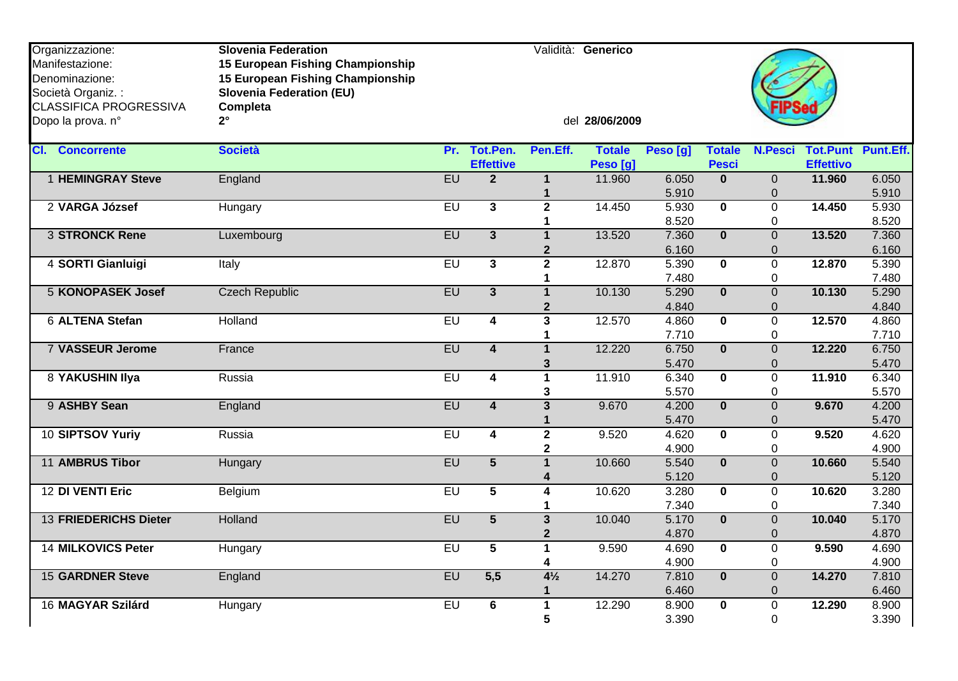| Organizzazione:<br>Manifestazione:<br>Denominazione:<br>Società Organiz. :<br><b>CLASSIFICA PROGRESSIVA</b> | <b>Slovenia Federation</b><br>15 European Fishing Championship<br>15 European Fishing Championship<br><b>Slovenia Federation (EU)</b><br>Completa |           |                              |                                | Validità: Generico        |                |                               |                                |                                     |                |
|-------------------------------------------------------------------------------------------------------------|---------------------------------------------------------------------------------------------------------------------------------------------------|-----------|------------------------------|--------------------------------|---------------------------|----------------|-------------------------------|--------------------------------|-------------------------------------|----------------|
| Dopo la prova. n°                                                                                           | $2^{\circ}$                                                                                                                                       |           |                              |                                | del 28/06/2009            |                |                               |                                |                                     |                |
| <b>CI.</b> Concorrente                                                                                      | <b>Società</b>                                                                                                                                    | Pr.       | Tot.Pen.<br><b>Effettive</b> | Pen.Eff.                       | <b>Totale</b><br>Peso [g] | Peso [g]       | <b>Totale</b><br><b>Pesci</b> | <b>N.Pesci</b>                 | <b>Tot.Punt</b><br><b>Effettivo</b> | Punt.Eff.      |
| <b>1 HEMINGRAY Steve</b>                                                                                    | England                                                                                                                                           | EU        | $\overline{2}$               | $\mathbf{1}$<br>1              | 11.960                    | 6.050<br>5.910 | $\Omega$                      | $\overline{0}$<br>0            | 11.960                              | 6.050<br>5.910 |
| 2 VARGA József                                                                                              | Hungary                                                                                                                                           | EU        | $\overline{\mathbf{3}}$      | $\overline{2}$                 | 14.450                    | 5.930<br>8.520 | $\overline{\mathbf{0}}$       | $\overline{0}$<br>$\Omega$     | 14.450                              | 5.930<br>8.520 |
| <b>3 STRONCK Rene</b>                                                                                       | Luxembourg                                                                                                                                        | EU        | $\overline{3}$               | $\mathbf 1$<br>$\overline{2}$  | 13.520                    | 7.360<br>6.160 | $\mathbf{0}$                  | $\overline{0}$<br>$\mathbf 0$  | 13.520                              | 7.360<br>6.160 |
| 4 SORTI Gianluigi                                                                                           | Italy                                                                                                                                             | EU        | $\overline{\mathbf{3}}$      | $\overline{2}$<br>1            | 12.870                    | 5.390<br>7.480 | $\mathbf{0}$                  | $\overline{0}$<br>0            | 12.870                              | 5.390<br>7.480 |
| <b>5 KONOPASEK Josef</b>                                                                                    | <b>Czech Republic</b>                                                                                                                             | EU        | $\mathbf{3}$                 | $\mathbf{1}$<br>$\overline{2}$ | 10.130                    | 5.290<br>4.840 | $\mathbf{0}$                  | $\overline{0}$<br>$\mathbf 0$  | 10.130                              | 5.290<br>4.840 |
| <b>6 ALTENA Stefan</b>                                                                                      | Holland                                                                                                                                           | EU        | $\overline{4}$               | $\overline{\mathbf{3}}$<br>1   | 12.570                    | 4.860<br>7.710 | $\overline{\mathbf{0}}$       | $\overline{0}$<br>$\Omega$     | 12.570                              | 4.860<br>7.710 |
| <b>7 VASSEUR Jerome</b>                                                                                     | France                                                                                                                                            | EU        | $\overline{\mathbf{4}}$      | $\mathbf{1}$<br>3              | 12.220                    | 6.750<br>5.470 | $\mathbf{0}$                  | $\overline{0}$<br>$\mathbf{0}$ | 12.220                              | 6.750<br>5.470 |
| <b>8 YAKUSHIN Ilya</b>                                                                                      | Russia                                                                                                                                            | EU        | $\overline{\mathbf{4}}$      | $\overline{1}$<br>3            | 11.910                    | 6.340<br>5.570 | $\overline{\mathbf{0}}$       | $\overline{0}$<br>0            | 11.910                              | 6.340<br>5.570 |
| 9 ASHBY Sean                                                                                                | England                                                                                                                                           | EU        | $\overline{\mathbf{4}}$      | $\overline{\mathbf{3}}$<br>1   | 9.670                     | 4.200<br>5.470 | $\overline{\mathbf{0}}$       | $\overline{0}$<br>$\mathbf 0$  | 9.670                               | 4.200<br>5.470 |
| 10 SIPTSOV Yuriy                                                                                            | Russia                                                                                                                                            | EU        | $\overline{4}$               | $\overline{2}$<br>$\mathbf 2$  | 9.520                     | 4.620<br>4.900 | $\mathbf 0$                   | $\overline{0}$<br>0            | 9.520                               | 4.620<br>4.900 |
| <b>11 AMBRUS Tibor</b>                                                                                      | Hungary                                                                                                                                           | <b>EU</b> | $\overline{5}$               | $\mathbf{1}$<br>4              | 10.660                    | 5.540<br>5.120 | $\mathbf{0}$                  | $\overline{0}$<br>$\mathbf 0$  | 10.660                              | 5.540<br>5.120 |
| 12 DI VENTI Eric                                                                                            | Belgium                                                                                                                                           | $E$ U     | 5                            | 4<br>1                         | 10.620                    | 3.280<br>7.340 | $\mathbf{0}$                  | $\overline{0}$<br>0            | 10.620                              | 3.280<br>7.340 |
| <b>13 FRIEDERICHS Dieter</b>                                                                                | Holland                                                                                                                                           | EU        | $\overline{5}$               | $\mathbf{3}$<br>$\mathbf{2}$   | 10.040                    | 5.170<br>4.870 | $\mathbf{0}$                  | $\overline{0}$<br>$\mathbf 0$  | 10.040                              | 5.170<br>4.870 |
| <b>14 MILKOVICS Peter</b>                                                                                   | Hungary                                                                                                                                           | $E$ U     | $\overline{5}$               | $\mathbf{1}$<br>4              | 9.590                     | 4.690<br>4.900 | $\overline{\mathbf{0}}$       | $\overline{0}$<br>0            | 9.590                               | 4.690<br>4.900 |
| <b>15 GARDNER Steve</b>                                                                                     | England                                                                                                                                           | EU        | 5,5                          | $4\frac{1}{2}$<br>$\mathbf{1}$ | 14.270                    | 7.810<br>6.460 | $\mathbf{0}$                  | $\Omega$<br>$\mathbf{0}$       | 14.270                              | 7.810<br>6.460 |
| 16 MAGYAR Szilárd                                                                                           | Hungary                                                                                                                                           | EU        | $6\phantom{1}$               | $\mathbf{1}$<br>5              | 12.290                    | 8.900<br>3.390 | $\mathbf 0$                   | 0<br>$\overline{0}$            | 12.290                              | 8.900<br>3.390 |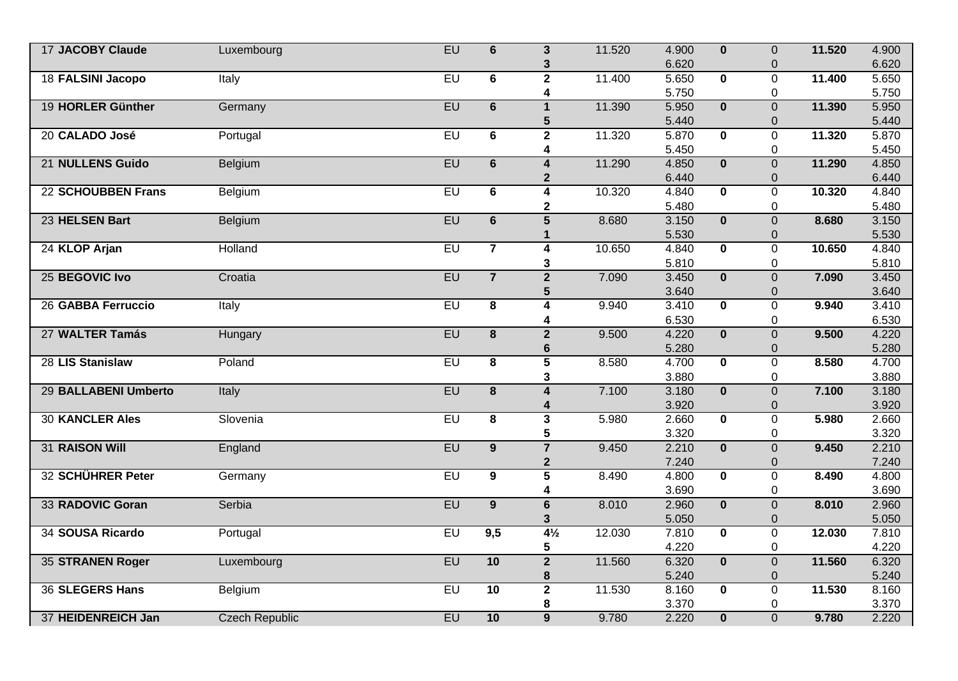| <b>17 JACOBY Claude</b>   | Luxembourg            | <b>EU</b> | $6\phantom{1}$          | $\overline{\mathbf{3}}$ | 11.520 | 4.900 | $\mathbf{0}$            | $\overline{0}$ | 11.520 | 4.900 |
|---------------------------|-----------------------|-----------|-------------------------|-------------------------|--------|-------|-------------------------|----------------|--------|-------|
|                           |                       |           |                         | 3                       |        | 6.620 |                         | $\mathbf 0$    |        | 6.620 |
| 18 FALSINI Jacopo         | Italy                 | $E$ U     | $\overline{6}$          | $\overline{2}$          | 11.400 | 5.650 | $\overline{\mathbf{0}}$ | $\overline{0}$ | 11.400 | 5.650 |
|                           |                       |           |                         | 4                       |        | 5.750 |                         | 0              |        | 5.750 |
| 19 HORLER Günther         | Germany               | EU        | $\overline{6}$          | $\mathbf{1}$            | 11.390 | 5.950 | $\mathbf{0}$            | $\overline{0}$ | 11.390 | 5.950 |
|                           |                       |           |                         | 5                       |        | 5.440 |                         | $\overline{0}$ |        | 5.440 |
| 20 CALADO José            | Portugal              | EU        | 6                       | $\overline{2}$          | 11.320 | 5.870 | $\bf{0}$                | $\overline{0}$ | 11.320 | 5.870 |
|                           |                       |           |                         | 4                       |        | 5.450 |                         | 0              |        | 5.450 |
| 21 NULLENS Guido          | Belgium               | EU        | $\overline{6}$          | $\overline{\mathbf{4}}$ | 11.290 | 4.850 | $\overline{\mathbf{0}}$ | $\overline{0}$ | 11.290 | 4.850 |
|                           |                       |           |                         | $\mathbf 2$             |        | 6.440 |                         | 0              |        | 6.440 |
| <b>22 SCHOUBBEN Frans</b> | Belgium               | $E$ U     | 6                       | $\overline{4}$          | 10.320 | 4.840 | $\mathbf{0}$            | 0              | 10.320 | 4.840 |
|                           |                       |           |                         | 2                       |        | 5.480 |                         | 0              |        | 5.480 |
| 23 HELSEN Bart            | Belgium               | EU        | $\overline{6}$          | $\overline{5}$          | 8.680  | 3.150 | $\mathbf{0}$            | $\overline{0}$ | 8.680  | 3.150 |
|                           |                       |           |                         | 1                       |        | 5.530 |                         | 0              |        | 5.530 |
| 24 KLOP Arjan             | Holland               | $E$ U     | $\overline{7}$          | $\overline{\mathbf{4}}$ | 10.650 | 4.840 | $\overline{\mathbf{0}}$ | $\overline{0}$ | 10.650 | 4.840 |
|                           |                       |           |                         | 3                       |        | 5.810 |                         | 0              |        | 5.810 |
| 25 BEGOVIC Ivo            | Croatia               | EU        | $\overline{7}$          | $\overline{2}$          | 7.090  | 3.450 | $\mathbf{0}$            | $\overline{0}$ | 7.090  | 3.450 |
|                           |                       |           |                         | 5                       |        | 3.640 |                         | 0              |        | 3.640 |
| 26 GABBA Ferruccio        | Italy                 | <b>EU</b> | $\overline{\mathbf{8}}$ | 4                       | 9.940  | 3.410 | $\overline{\mathbf{0}}$ | $\overline{0}$ | 9.940  | 3.410 |
|                           |                       |           |                         | 4                       |        | 6.530 |                         | 0              |        | 6.530 |
| 27 WALTER Tamás           | Hungary               | EU        | $\overline{\mathbf{8}}$ | $\overline{2}$          | 9.500  | 4.220 | $\overline{\mathbf{0}}$ | $\overline{0}$ | 9.500  | 4.220 |
|                           |                       |           |                         | $6\phantom{1}6$         |        | 5.280 |                         | 0              |        | 5.280 |
| 28 LIS Stanislaw          | Poland                | $E$ U     | 8                       | $\overline{\mathbf{5}}$ | 8.580  | 4.700 | $\mathbf{0}$            | 0              | 8.580  | 4.700 |
|                           |                       |           |                         | 3                       |        | 3.880 |                         | 0              |        | 3.880 |
| 29 BALLABENI Umberto      | Italy                 | EU        | $\overline{\mathbf{8}}$ | $\overline{4}$          | 7.100  | 3.180 | $\overline{\mathbf{0}}$ | $\overline{0}$ | 7.100  | 3.180 |
|                           |                       |           |                         | 4                       |        | 3.920 |                         | 0              |        | 3.920 |
| <b>30 KANCLER Ales</b>    | Slovenia              | $E$ U     | $\overline{\mathbf{8}}$ | $\overline{\mathbf{3}}$ | 5.980  | 2.660 | $\mathbf 0$             | $\overline{0}$ | 5.980  | 2.660 |
|                           |                       |           |                         | 5                       |        | 3.320 |                         | 0              |        | 3.320 |
| 31 RAISON Will            | England               | EU        | $\overline{9}$          | $\overline{7}$          | 9.450  | 2.210 | $\overline{\mathbf{0}}$ | $\overline{0}$ | 9.450  | 2.210 |
|                           |                       |           |                         | $\boldsymbol{2}$        |        | 7.240 |                         | $\mathbf 0$    |        | 7.240 |
| 32 SCHÜHRER Peter         | Germany               | EU        | $\overline{9}$          | $\overline{5}$          | 8.490  | 4.800 | $\overline{\mathbf{0}}$ | $\overline{0}$ | 8.490  | 4.800 |
|                           |                       |           |                         | 4                       |        | 3.690 |                         | 0              |        | 3.690 |
| 33 RADOVIC Goran          | Serbia                | EU        | 9                       | $6\phantom{a}$          | 8.010  | 2.960 | $\mathbf{0}$            | $\overline{0}$ | 8.010  | 2.960 |
|                           |                       |           |                         | 3                       |        | 5.050 |                         | 0              |        | 5.050 |
| 34 SOUSA Ricardo          | Portugal              | $E$ U     | 9,5                     | $4\frac{1}{2}$          | 12.030 | 7.810 | $\mathbf{0}$            | $\overline{0}$ | 12.030 | 7.810 |
|                           |                       |           |                         | 5                       |        | 4.220 |                         | 0              |        | 4.220 |
| 35 STRANEN Roger          | Luxembourg            | EU        | 10                      | $\overline{2}$          | 11.560 | 6.320 | $\overline{\mathbf{0}}$ | $\overline{0}$ | 11.560 | 6.320 |
|                           |                       |           |                         | 8                       |        | 5.240 |                         | 0              |        | 5.240 |
| 36 SLEGERS Hans           | Belgium               | $E$ U     | 10                      | $\overline{2}$          | 11.530 | 8.160 | $\mathbf 0$             | $\mathsf 0$    | 11.530 | 8.160 |
|                           |                       |           |                         | 8                       |        | 3.370 |                         | 0              |        | 3.370 |
| 37 HEIDENREICH Jan        | <b>Czech Republic</b> | EU        | 10                      | $\overline{9}$          | 9.780  | 2.220 | $\overline{\mathbf{0}}$ | $\overline{0}$ | 9.780  | 2.220 |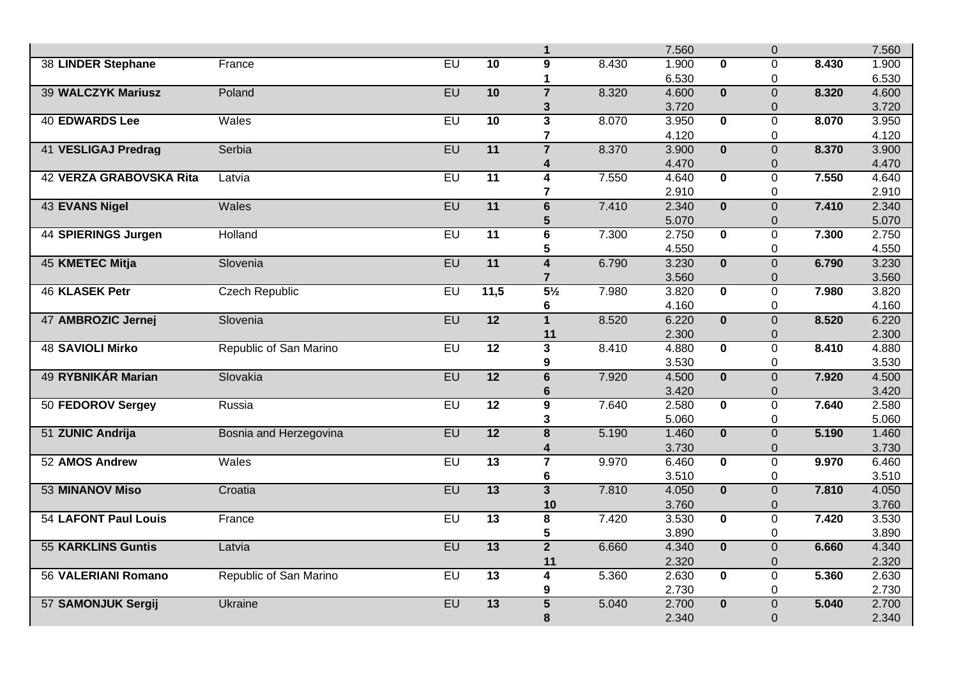|                             |                        |           |                 | $\mathbf{1}$                     |       | 7.560          |                         | $\overline{0}$                |       | 7.560          |
|-----------------------------|------------------------|-----------|-----------------|----------------------------------|-------|----------------|-------------------------|-------------------------------|-------|----------------|
| 38 LINDER Stephane          | France                 | $E$ U     | 10              | 9                                | 8.430 | 1.900          | $\Omega$                | $\Omega$                      | 8.430 | 1.900          |
|                             |                        |           |                 | 1                                |       | 6.530          |                         | 0                             |       | 6.530          |
| <b>39 WALCZYK Mariusz</b>   | Poland                 | EU        | 10              | $\overline{7}$                   | 8.320 | 4.600          | $\overline{\mathbf{0}}$ | $\overline{0}$                | 8.320 | 4.600          |
|                             |                        |           |                 | 3                                |       | 3.720          |                         | $\Omega$                      |       | 3.720          |
| <b>40 EDWARDS Lee</b>       | Wales                  | $E$ U     | 10              | $\overline{\mathbf{3}}$          | 8.070 | 3.950          | $\mathbf{0}$            | 0                             | 8.070 | 3.950          |
|                             |                        |           |                 | $\overline{\mathbf{7}}$          |       | 4.120          |                         | 0                             |       | 4.120          |
| <b>41 VESLIGAJ Predrag</b>  | Serbia                 | <b>EU</b> | $\overline{11}$ | $\overline{7}$                   | 8.370 | 3.900          | $\overline{0}$          | $\overline{0}$                | 8.370 | 3.900          |
|                             |                        |           |                 | 4                                |       | 4.470          |                         | $\Omega$                      |       | 4.470          |
| 42 VERZA GRABOVSKA Rita     | Latvia                 | $E$ U     | $\overline{11}$ | 4                                | 7.550 | 4.640          | $\bf{0}$                | $\Omega$                      | 7.550 | 4.640          |
|                             |                        |           |                 | $\overline{\mathbf{r}}$          |       | 2.910          |                         | 0                             |       | 2.910          |
| <b>43 EVANS Nigel</b>       | Wales                  | EU        | 11              | 6                                | 7.410 | 2.340          | $\overline{\mathbf{0}}$ | $\overline{0}$                | 7.410 | 2.340          |
|                             |                        |           |                 | 5                                |       | 5.070          |                         | $\overline{0}$                |       | 5.070          |
| 44 SPIERINGS Jurgen         | Holland                | $E$ U     | $\overline{11}$ | $\overline{\mathbf{6}}$          | 7.300 | 2.750          | $\overline{\mathbf{0}}$ | $\overline{0}$                | 7.300 | 2.750          |
|                             |                        |           |                 | 5                                |       | 4.550          |                         | 0                             |       | 4.550          |
| 45 KMETEC Mitja             | Slovenia               | EU        | 11              | $\overline{4}$                   | 6.790 | 3.230          | $\mathbf{0}$            | $\overline{0}$                | 6.790 | 3.230          |
| <b>46 KLASEK Petr</b>       | <b>Czech Republic</b>  | EU        | 11,5            | $\overline{7}$<br>$5\frac{1}{2}$ | 7.980 | 3.560<br>3.820 | $\overline{\mathbf{0}}$ | $\mathbf 0$<br>$\overline{0}$ | 7.980 | 3.560<br>3.820 |
|                             |                        |           |                 |                                  |       | 4.160          |                         | 0                             |       | 4.160          |
| 47 AMBROZIC Jernej          | Slovenia               | EU        | $\overline{12}$ | 6<br>$\mathbf{1}$                | 8.520 | 6.220          | $\overline{\mathbf{0}}$ | $\overline{0}$                | 8.520 | 6.220          |
|                             |                        |           |                 | 11                               |       | 2.300          |                         | $\Omega$                      |       | 2.300          |
| <b>48 SAVIOLI Mirko</b>     | Republic of San Marino | $E$ U     | $\overline{12}$ | $\overline{\mathbf{3}}$          | 8.410 | 4.880          | $\mathbf{0}$            | $\overline{0}$                | 8.410 | 4.880          |
|                             |                        |           |                 | 9                                |       | 3.530          |                         | 0                             |       | 3.530          |
| <b>49 RYBNIKÁR Marian</b>   | Slovakia               | EU        | 12              | $\overline{6}$                   | 7.920 | 4.500          | $\overline{0}$          | $\overline{0}$                | 7.920 | 4.500          |
|                             |                        |           |                 | $6\phantom{1}6$                  |       | 3.420          |                         | 0                             |       | 3.420          |
| 50 FEDOROV Sergey           | Russia                 | EU        | $\overline{12}$ | $\overline{9}$                   | 7.640 | 2.580          | $\mathbf{0}$            | $\overline{0}$                | 7.640 | 2.580          |
|                             |                        |           |                 | 3                                |       | 5.060          |                         | 0                             |       | 5.060          |
| 51 ZUNIC Andrija            | Bosnia and Herzegovina | <b>EU</b> | 12              | $\overline{\mathbf{8}}$          | 5.190 | 1.460          | $\overline{\mathbf{0}}$ | $\overline{0}$                | 5.190 | 1.460          |
|                             |                        |           |                 | 4                                |       | 3.730          |                         | $\mathbf 0$                   |       | 3.730          |
| 52 AMOS Andrew              | Wales                  | EU        | $\overline{13}$ | $\overline{7}$                   | 9.970 | 6.460          | $\overline{\mathbf{0}}$ | $\overline{0}$                | 9.970 | 6.460          |
|                             |                        |           |                 | 6                                |       | 3.510          |                         | 0                             |       | 3.510          |
| <b>53 MINANOV Miso</b>      | Croatia                | <b>EU</b> | $\overline{13}$ | 3 <sup>1</sup>                   | 7.810 | 4.050          | $\bf{0}$                | $\overline{0}$                | 7.810 | 4.050          |
|                             |                        |           |                 | 10                               |       | 3.760          |                         | $\overline{0}$                |       | 3.760          |
| <b>54 LAFONT Paul Louis</b> | France                 | EU        | $\overline{13}$ | $\overline{\mathbf{8}}$          | 7.420 | 3.530          | $\overline{\mathbf{0}}$ | $\overline{0}$                | 7.420 | 3.530          |
|                             |                        |           |                 | 5                                |       | 3.890          |                         | 0                             |       | 3.890          |
| <b>55 KARKLINS Guntis</b>   | Latvia                 | EU        | $\overline{13}$ | $\overline{2}$                   | 6.660 | 4.340          | $\overline{\mathbf{0}}$ | $\overline{0}$                | 6.660 | 4.340          |
|                             |                        |           |                 | 11                               |       | 2.320          |                         | 0                             |       | 2.320          |
| <b>56 VALERIANI Romano</b>  | Republic of San Marino | EU        | $\overline{13}$ | $\overline{4}$                   | 5.360 | 2.630          | $\mathbf 0$             | $\overline{0}$                | 5.360 | 2.630          |
|                             |                        |           |                 | 9                                |       | 2.730          |                         | 0                             |       | 2.730          |
| 57 SAMONJUK Sergij          | <b>Ukraine</b>         | <b>EU</b> | $\overline{13}$ | $\overline{5}$                   | 5.040 | 2.700          | $\mathbf{0}$            | $\overline{0}$                | 5.040 | 2.700          |
|                             |                        |           |                 | 8                                |       | 2.340          |                         | $\overline{0}$                |       | 2.340          |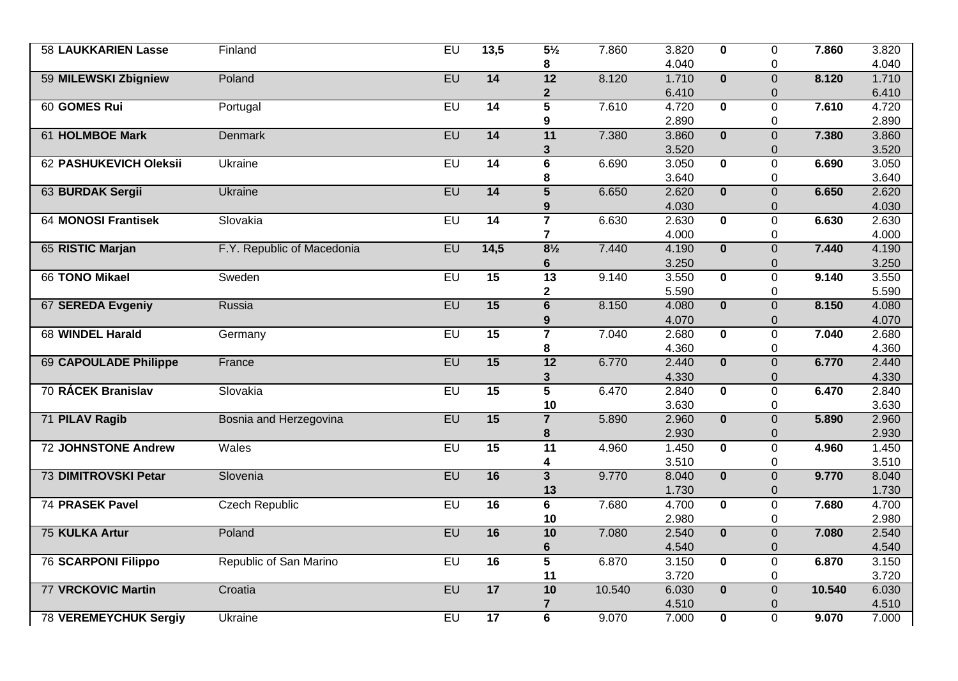| <b>58 LAUKKARIEN Lasse</b>   | Finland                    | EU        | 13,5            | $5\frac{1}{2}$          | 7.860  | 3.820 | $\mathbf{0}$            | 0              | 7.860  | 3.820 |
|------------------------------|----------------------------|-----------|-----------------|-------------------------|--------|-------|-------------------------|----------------|--------|-------|
|                              |                            |           |                 | 8                       |        | 4.040 |                         | $\mathbf 0$    |        | 4.040 |
| 59 MILEWSKI Zbigniew         | Poland                     | EU        | 14              | $\overline{12}$         | 8.120  | 1.710 | $\overline{\mathbf{0}}$ | $\overline{0}$ | 8.120  | 1.710 |
|                              |                            |           |                 | $\mathbf{2}$            |        | 6.410 |                         | 0              |        | 6.410 |
| 60 GOMES Rui                 | Portugal                   | EU        | $\overline{14}$ | $\overline{\mathbf{5}}$ | 7.610  | 4.720 | $\mathbf{0}$            | $\overline{0}$ | 7.610  | 4.720 |
|                              |                            |           |                 | 9                       |        | 2.890 |                         | 0              |        | 2.890 |
| <b>61 HOLMBOE Mark</b>       | <b>Denmark</b>             | <b>EU</b> | $\overline{14}$ | 11                      | 7.380  | 3.860 | $\overline{\mathbf{0}}$ | $\overline{0}$ | 7.380  | 3.860 |
|                              |                            |           |                 | 3                       |        | 3.520 |                         | $\mathbf 0$    |        | 3.520 |
| 62 PASHUKEVICH Oleksii       | Ukraine                    | $E$ U     | 14              | $\overline{\mathbf{6}}$ | 6.690  | 3.050 | $\overline{\mathbf{0}}$ | $\overline{0}$ | 6.690  | 3.050 |
|                              |                            |           |                 | 8                       |        | 3.640 |                         | 0              |        | 3.640 |
| 63 BURDAK Sergii             | <b>Ukraine</b>             | EU        | $\overline{14}$ | $\overline{5}$          | 6.650  | 2.620 | $\mathbf{0}$            | $\overline{0}$ | 6.650  | 2.620 |
|                              |                            |           |                 | 9                       |        | 4.030 |                         | 0              |        | 4.030 |
| <b>64 MONOSI Frantisek</b>   | Slovakia                   | $E$ U     | $\overline{14}$ | $\overline{7}$          | 6.630  | 2.630 | $\mathbf{0}$            | $\overline{0}$ | 6.630  | 2.630 |
|                              |                            |           |                 | $\overline{7}$          |        | 4.000 |                         | $\mathbf 0$    |        | 4.000 |
| 65 RISTIC Marjan             | F.Y. Republic of Macedonia | EU        | 14,5            | $8\frac{1}{2}$          | 7.440  | 4.190 | $\overline{\mathbf{0}}$ | $\overline{0}$ | 7.440  | 4.190 |
|                              |                            |           |                 | 6                       |        | 3.250 |                         | 0              |        | 3.250 |
| 66 TONO Mikael               | Sweden                     | EU        | 15              | $\overline{13}$         | 9.140  | 3.550 | $\mathbf 0$             | 0              | 9.140  | 3.550 |
|                              |                            |           |                 | $\overline{\mathbf{2}}$ |        | 5.590 |                         | 0              |        | 5.590 |
| 67 SEREDA Evgeniy            | Russia                     | EU        | 15              | $\overline{\mathbf{6}}$ | 8.150  | 4.080 | $\overline{\mathbf{0}}$ | $\overline{0}$ | 8.150  | 4.080 |
|                              |                            |           |                 | 9                       |        | 4.070 |                         | $\mathbf 0$    |        | 4.070 |
| 68 WINDEL Harald             | Germany                    | $E$ U     | $\overline{15}$ | $\overline{7}$          | 7.040  | 2.680 | $\mathbf{0}$            | $\overline{0}$ | 7.040  | 2.680 |
|                              |                            |           |                 | 8                       |        | 4.360 |                         | 0              |        | 4.360 |
| <b>69 CAPOULADE Philippe</b> | France                     | EU        | 15              | $\overline{12}$         | 6.770  | 2.440 | $\overline{\mathbf{0}}$ | $\overline{0}$ | 6.770  | 2.440 |
|                              |                            |           |                 | 3                       |        | 4.330 |                         | $\mathbf 0$    |        | 4.330 |
| 70 RÁCEK Branislav           | Slovakia                   | EU        | 15              | $\overline{5}$          | 6.470  | 2.840 | $\overline{\mathbf{0}}$ | $\overline{0}$ | 6.470  | 2.840 |
|                              |                            |           |                 | 10                      |        | 3.630 |                         | 0              |        | 3.630 |
| 71 PILAV Ragib               | Bosnia and Herzegovina     | <b>EU</b> | $\overline{15}$ | $\overline{7}$          | 5.890  | 2.960 | $\overline{\mathbf{0}}$ | $\overline{0}$ | 5.890  | 2.960 |
|                              |                            |           |                 | 8                       |        | 2.930 |                         | 0              |        | 2.930 |
| <b>72 JOHNSTONE Andrew</b>   | Wales                      | EU        | 15              | 11                      | 4.960  | 1.450 | $\mathbf{0}$            | 0              | 4.960  | 1.450 |
|                              |                            |           |                 | 4                       |        | 3.510 |                         | $\mathbf 0$    |        | 3.510 |
| <b>73 DIMITROVSKI Petar</b>  | Slovenia                   | EU        | 16              | $\overline{\mathbf{3}}$ | 9.770  | 8.040 | $\overline{\mathbf{0}}$ | $\overline{0}$ | 9.770  | 8.040 |
|                              |                            |           |                 | 13                      |        | 1.730 |                         | $\Omega$       |        | 1.730 |
| 74 PRASEK Pavel              | <b>Czech Republic</b>      | $E$ U     | $\overline{16}$ | 6                       | 7.680  | 4.700 | $\mathbf{0}$            | $\overline{0}$ | 7.680  | 4.700 |
|                              |                            |           |                 | 10                      |        | 2.980 |                         | $\mathbf 0$    |        | 2.980 |
| 75 KULKA Artur               | Poland                     | EU        | 16              | 10                      | 7.080  | 2.540 | $\mathbf{0}$            | $\overline{0}$ | 7.080  | 2.540 |
|                              |                            |           |                 | 6                       |        | 4.540 |                         | 0              |        | 4.540 |
| <b>76 SCARPONI Filippo</b>   | Republic of San Marino     | EU        | $\overline{16}$ | $\overline{5}$          | 6.870  | 3.150 | $\overline{\mathbf{0}}$ | $\overline{0}$ | 6.870  | 3.150 |
|                              |                            |           |                 | 11                      |        | 3.720 |                         | $\mathbf 0$    |        | 3.720 |
| <b>77 VRCKOVIC Martin</b>    | Croatia                    | EU        | 17              | 10                      | 10.540 | 6.030 | $\mathbf 0$             | $\overline{0}$ | 10.540 | 6.030 |
|                              |                            |           |                 | $\overline{\mathbf{r}}$ |        | 4.510 |                         | $\mathbf 0$    |        | 4.510 |
| <b>78 VEREMEYCHUK Sergiy</b> | Ukraine                    | EU        | 17              | $\overline{\bf{6}}$     | 9.070  | 7.000 | $\mathbf 0$             | $\overline{0}$ | 9.070  | 7.000 |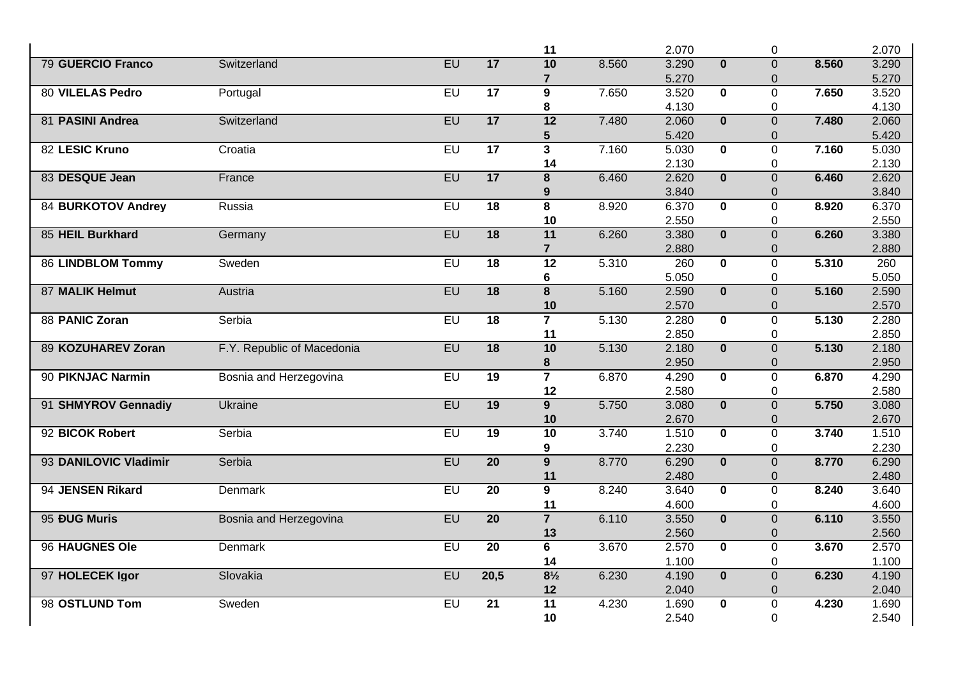|                           |                            |           |                 | 11                      |       | 2.070          |                         | 0                             |       | 2.070          |
|---------------------------|----------------------------|-----------|-----------------|-------------------------|-------|----------------|-------------------------|-------------------------------|-------|----------------|
| <b>79 GUERCIO Franco</b>  | Switzerland                | <b>EU</b> | 17              | 10                      | 8.560 | 3.290          | $\mathbf{0}$            | $\overline{0}$                | 8.560 | 3.290          |
|                           |                            |           |                 | $\overline{7}$          |       | 5.270          |                         | $\mathbf 0$                   |       | 5.270          |
| <b>80 VILELAS Pedro</b>   | Portugal                   | EU        | $\overline{17}$ | $\overline{9}$          | 7.650 | 3.520          | $\overline{\mathbf{0}}$ | $\overline{0}$                | 7.650 | 3.520          |
|                           |                            |           |                 | 8                       |       | 4.130          |                         | 0                             |       | 4.130          |
| 81 PASINI Andrea          | Switzerland                | EU        | 17              | 12                      | 7.480 | 2.060          | $\mathbf{0}$            | $\overline{0}$                | 7.480 | 2.060          |
|                           |                            |           |                 | 5                       |       | 5.420          |                         | $\overline{0}$                |       | 5.420          |
| 82 LESIC Kruno            | Croatia                    | EU        | $\overline{17}$ | $\overline{\mathbf{3}}$ | 7.160 | 5.030          | $\overline{\mathbf{0}}$ | $\overline{0}$                | 7.160 | 5.030          |
|                           |                            |           |                 | 14                      |       | 2.130          |                         | $\overline{0}$                |       | 2.130          |
| 83 DESQUE Jean            | France                     | EU        | 17              | 8                       | 6.460 | 2.620          | $\mathbf{0}$            | $\overline{0}$                | 6.460 | 2.620          |
|                           |                            |           |                 | 9                       |       | 3.840          |                         | $\Omega$                      |       | 3.840          |
| <b>84 BURKOTOV Andrey</b> | Russia                     | EU        | $\overline{18}$ | $\overline{\mathbf{8}}$ | 8.920 | 6.370          | $\overline{\mathbf{0}}$ | $\overline{0}$                | 8.920 | 6.370          |
|                           |                            |           |                 | 10                      |       | 2.550          |                         | $\mathbf 0$                   |       | 2.550          |
| 85 HEIL Burkhard          | Germany                    | EU        | $\overline{18}$ | 11                      | 6.260 | 3.380          | $\overline{0}$          | $\overline{0}$                | 6.260 | 3.380          |
|                           |                            |           |                 | $\overline{7}$          |       | 2.880          |                         | 0                             |       | 2.880          |
| <b>86 LINDBLOM Tommy</b>  | Sweden                     | $E$ U     | $\overline{18}$ | $\overline{12}$         | 5.310 | 260            | $\mathbf 0$             | $\overline{0}$                | 5.310 | 260            |
|                           |                            |           |                 | 6                       |       | 5.050          |                         | 0                             |       | 5.050          |
| 87 MALIK Helmut           | Austria                    | EU        | $\overline{18}$ | $\overline{\mathbf{8}}$ | 5.160 | 2.590          | $\overline{\mathbf{0}}$ | $\mathbf 0$                   | 5.160 | 2.590          |
| 88 PANIC Zoran            | Serbia                     | EU        | $\overline{18}$ | 10<br>$\overline{7}$    | 5.130 | 2.570<br>2.280 | $\overline{\mathbf{0}}$ | $\mathbf 0$<br>$\overline{0}$ | 5.130 | 2.570<br>2.280 |
|                           |                            |           |                 | 11                      |       | 2.850          |                         | 0                             |       | 2.850          |
| 89 KOZUHAREV Zoran        | F.Y. Republic of Macedonia | EU        | 18              | 10                      | 5.130 | 2.180          | $\mathbf{0}$            | $\overline{0}$                | 5.130 | 2.180          |
|                           |                            |           |                 | 8                       |       | 2.950          |                         | $\overline{0}$                |       | 2.950          |
| 90 PIKNJAC Narmin         | Bosnia and Herzegovina     | EU        | $\overline{19}$ | $\overline{7}$          | 6.870 | 4.290          | $\mathbf{0}$            | $\Omega$                      | 6.870 | 4.290          |
|                           |                            |           |                 | 12                      |       | 2.580          |                         | $\mathbf 0$                   |       | 2.580          |
| 91 SHMYROV Gennadiy       | <b>Ukraine</b>             | EU        | 19              | $\overline{9}$          | 5.750 | 3.080          | $\overline{\mathbf{0}}$ | $\overline{0}$                | 5.750 | 3.080          |
|                           |                            |           |                 | 10                      |       | 2.670          |                         | 0                             |       | 2.670          |
| 92 BICOK Robert           | Serbia                     | <b>EU</b> | $\overline{19}$ | 10                      | 3.740 | 1.510          | $\mathbf 0$             | $\overline{0}$                | 3.740 | 1.510          |
|                           |                            |           |                 | 9                       |       | 2.230          |                         | $\mathbf 0$                   |       | 2.230          |
| 93 DANILOVIC Vladimir     | Serbia                     | EU        | $\overline{20}$ | $\overline{9}$          | 8.770 | 6.290          | $\overline{\mathbf{0}}$ | $\overline{0}$                | 8.770 | 6.290          |
|                           |                            |           |                 | 11                      |       | 2.480          |                         | $\Omega$                      |       | 2.480          |
| 94 JENSEN Rikard          | Denmark                    | $E$ U     | $\overline{20}$ | 9                       | 8.240 | 3.640          | $\mathbf{0}$            | $\Omega$                      | 8.240 | 3.640          |
|                           |                            |           |                 | 11                      |       | 4.600          |                         | 0                             |       | 4.600          |
| 95 ĐUG Muris              | Bosnia and Herzegovina     | EU        | $\overline{20}$ | $\overline{7}$          | 6.110 | 3.550          | $\overline{\mathbf{0}}$ | $\overline{0}$                | 6.110 | 3.550          |
|                           |                            |           |                 | 13                      |       | 2.560          |                         | $\mathbf 0$                   |       | 2.560          |
| 96 HAUGNES Ole            | Denmark                    | EU        | $\overline{20}$ | $\overline{\mathbf{6}}$ | 3.670 | 2.570          | $\mathbf{0}$            | $\overline{0}$                | 3.670 | 2.570          |
|                           |                            |           |                 | 14                      |       | 1.100          |                         | 0                             |       | 1.100          |
| 97 HOLECEK Igor           | Slovakia                   | EU        | 20,5            | $8\frac{1}{2}$          | 6.230 | 4.190          | $\mathbf{0}$            | $\overline{0}$                | 6.230 | 4.190          |
|                           |                            |           |                 | 12                      |       | 2.040          |                         | $\overline{0}$                |       | 2.040          |
| 98 OSTLUND Tom            | Sweden                     | EU        | $\overline{21}$ | $\overline{11}$         | 4.230 | 1.690          | $\bf{0}$                | $\overline{0}$                | 4.230 | 1.690          |
|                           |                            |           |                 | 10                      |       | 2.540          |                         | $\overline{0}$                |       | 2.540          |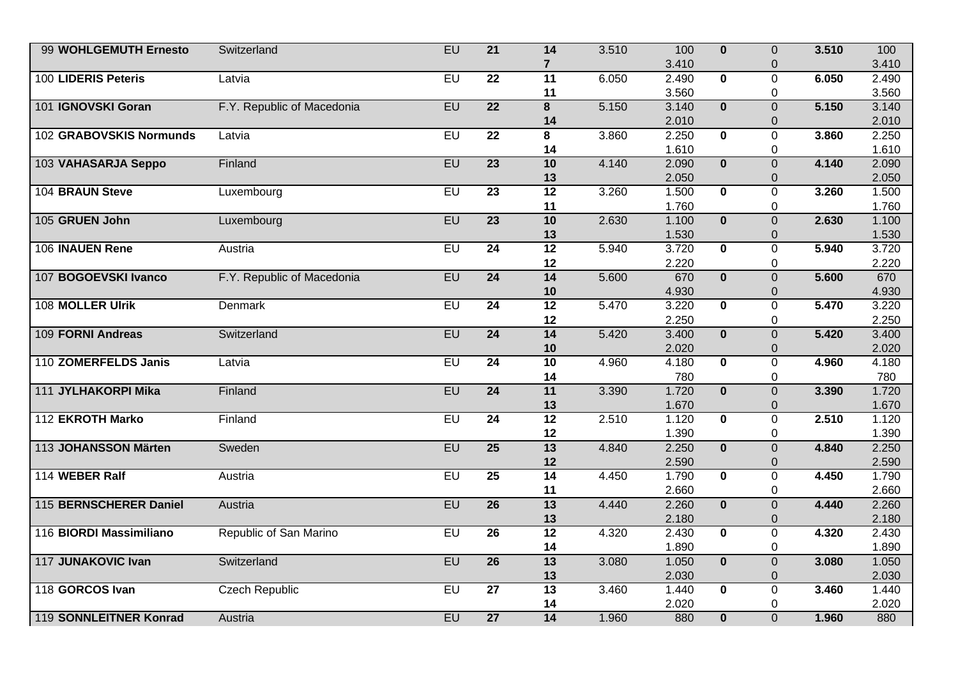| 99 WOHLGEMUTH Ernesto   | Switzerland                | EU    | $\overline{21}$ | $\overline{14}$         | 3.510 | 100   | $\mathbf{0}$            | $\overline{0}$ | 3.510 | 100   |
|-------------------------|----------------------------|-------|-----------------|-------------------------|-------|-------|-------------------------|----------------|-------|-------|
|                         |                            |       |                 | $\overline{7}$          |       | 3.410 |                         | $\mathbf 0$    |       | 3.410 |
| 100 LIDERIS Peteris     | Latvia                     | EU    | $\overline{22}$ | 11                      | 6.050 | 2.490 | $\overline{\mathbf{0}}$ | $\overline{0}$ | 6.050 | 2.490 |
|                         |                            |       |                 | 11                      |       | 3.560 |                         | 0              |       | 3.560 |
| 101 IGNOVSKI Goran      | F.Y. Republic of Macedonia | EU    | $\overline{22}$ | $\overline{\mathbf{8}}$ | 5.150 | 3.140 | $\overline{\mathbf{0}}$ | $\overline{0}$ | 5.150 | 3.140 |
|                         |                            |       |                 | 14                      |       | 2.010 |                         | $\overline{0}$ |       | 2.010 |
| 102 GRABOVSKIS Normunds | Latvia                     | EU    | $\overline{22}$ | 8                       | 3.860 | 2.250 | $\mathbf{0}$            | 0              | 3.860 | 2.250 |
|                         |                            |       |                 | 14                      |       | 1.610 |                         | $\mathbf 0$    |       | 1.610 |
| 103 VAHASARJA Seppo     | Finland                    | EU    | $\overline{23}$ | 10                      | 4.140 | 2.090 | $\overline{\mathbf{0}}$ | $\overline{0}$ | 4.140 | 2.090 |
|                         |                            |       |                 | 13                      |       | 2.050 |                         | 0              |       | 2.050 |
| 104 BRAUN Steve         | Luxembourg                 | $E$ U | $\overline{23}$ | 12                      | 3.260 | 1.500 | $\mathbf{0}$            | $\overline{0}$ | 3.260 | 1.500 |
|                         |                            |       |                 | 11                      |       | 1.760 |                         | 0              |       | 1.760 |
| 105 GRUEN John          | Luxembourg                 | EU    | $\overline{23}$ | 10                      | 2.630 | 1.100 | $\overline{\mathbf{0}}$ | $\overline{0}$ | 2.630 | 1.100 |
|                         |                            |       |                 | 13                      |       | 1.530 |                         | 0              |       | 1.530 |
| 106 INAUEN Rene         | Austria                    | EU    | $\overline{24}$ | 12                      | 5.940 | 3.720 | $\overline{\mathbf{0}}$ | $\overline{0}$ | 5.940 | 3.720 |
|                         |                            |       |                 | 12                      |       | 2.220 |                         | 0              |       | 2.220 |
| 107 BOGOEVSKI Ivanco    | F.Y. Republic of Macedonia | EU    | $\overline{24}$ | 14                      | 5.600 | 670   | $\overline{\mathbf{0}}$ | $\overline{0}$ | 5.600 | 670   |
|                         |                            |       |                 | 10                      |       | 4.930 |                         | 0              |       | 4.930 |
| 108 MOLLER Ulrik        | <b>Denmark</b>             | EU    | $\overline{24}$ | $\overline{12}$         | 5.470 | 3.220 | $\overline{\mathbf{0}}$ | $\overline{0}$ | 5.470 | 3.220 |
|                         |                            |       |                 | 12                      |       | 2.250 |                         | $\mathbf 0$    |       | 2.250 |
| 109 FORNI Andreas       | Switzerland                | EU    | $\overline{24}$ | 14                      | 5.420 | 3.400 | $\overline{\mathbf{0}}$ | $\overline{0}$ | 5.420 | 3.400 |
|                         |                            |       |                 | 10                      |       | 2.020 |                         | 0              |       | 2.020 |
| 110 ZOMERFELDS Janis    | Latvia                     | EU    | $\overline{24}$ | 10                      | 4.960 | 4.180 | $\overline{\mathbf{0}}$ | $\overline{0}$ | 4.960 | 4.180 |
|                         |                            |       |                 | 14                      |       | 780   |                         | 0              |       | 780   |
| 111 JYLHAKORPI Mika     | Finland                    | EU    | $\overline{24}$ | 11                      | 3.390 | 1.720 | $\overline{0}$          | $\overline{0}$ | 3.390 | 1.720 |
|                         |                            |       |                 | 13                      |       | 1.670 |                         | 0              |       | 1.670 |
| 112 EKROTH Marko        | Finland                    | $E$ U | $\overline{24}$ | $\overline{12}$         | 2.510 | 1.120 | $\mathbf{0}$            | $\overline{0}$ | 2.510 | 1.120 |
|                         |                            |       |                 | 12                      |       | 1.390 |                         | 0              |       | 1.390 |
| 113 JOHANSSON Märten    | Sweden                     | EU    | $\overline{25}$ | $\overline{13}$         | 4.840 | 2.250 | $\overline{\mathbf{0}}$ | $\mathbf 0$    | 4.840 | 2.250 |
|                         |                            |       |                 | 12                      |       | 2.590 |                         | $\mathbf 0$    |       | 2.590 |
| 114 WEBER Ralf          | Austria                    | EU    | 25              | 14                      | 4.450 | 1.790 | $\overline{\mathbf{0}}$ | $\overline{0}$ | 4.450 | 1.790 |
|                         |                            |       |                 | 11                      |       | 2.660 |                         | 0              |       | 2.660 |
| 115 BERNSCHERER Daniel  | Austria                    | EU    | $\overline{26}$ | 13                      | 4.440 | 2.260 | $\mathbf{0}$            | $\overline{0}$ | 4.440 | 2.260 |
|                         |                            |       |                 | 13                      |       | 2.180 |                         | 0              |       | 2.180 |
| 116 BIORDI Massimiliano | Republic of San Marino     | $E$ U | $\overline{26}$ | $\overline{12}$         | 4.320 | 2.430 | $\mathbf{0}$            | $\overline{0}$ | 4.320 | 2.430 |
|                         |                            |       |                 | 14                      |       | 1.890 |                         | $\mathbf 0$    |       | 1.890 |
| 117 JUNAKOVIC Ivan      | Switzerland                | EU    | $\overline{26}$ | 13                      | 3.080 | 1.050 | $\overline{\mathbf{0}}$ | $\overline{0}$ | 3.080 | 1.050 |
|                         |                            |       |                 | 13                      |       | 2.030 |                         | 0              |       | 2.030 |
| 118 GORCOS Ivan         | <b>Czech Republic</b>      | EU    | $\overline{27}$ | $\overline{13}$         | 3.460 | 1.440 | $\mathbf 0$             | $\overline{0}$ | 3.460 | 1.440 |
|                         |                            |       |                 | 14                      |       | 2.020 |                         | $\mathbf 0$    |       | 2.020 |
| 119 SONNLEITNER Konrad  | Austria                    | EU    | $\overline{27}$ | 14                      | 1.960 | 880   | $\overline{\mathbf{0}}$ | $\overline{0}$ | 1.960 | 880   |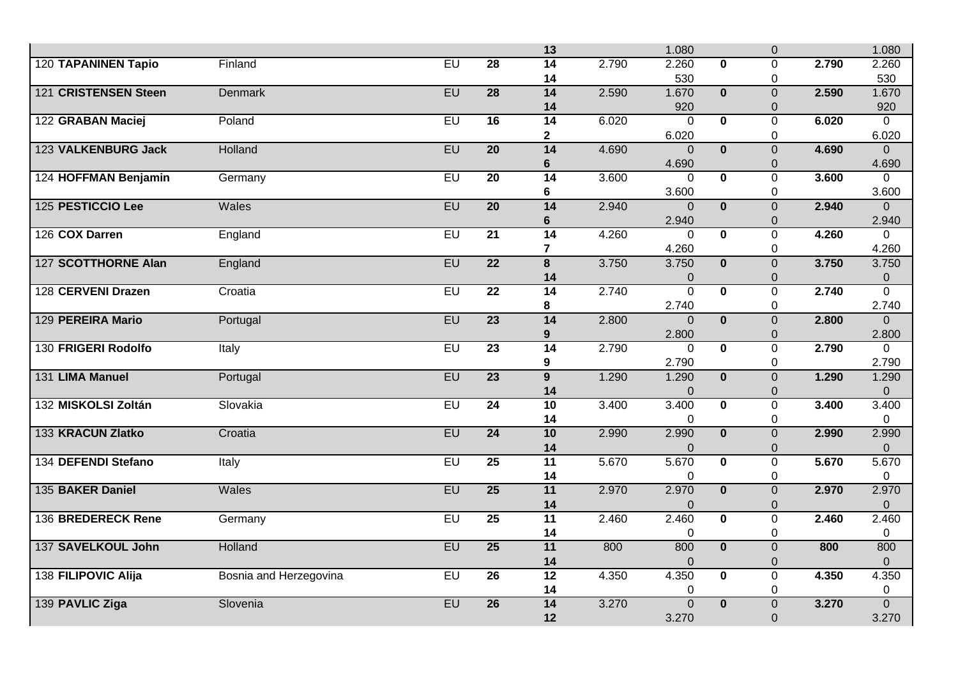|                            |                        |           |                 | 13                      |       | 1.080                         |                         | $\overline{0}$      |       | 1.080               |
|----------------------------|------------------------|-----------|-----------------|-------------------------|-------|-------------------------------|-------------------------|---------------------|-------|---------------------|
| <b>120 TAPANINEN Tapio</b> | Finland                | $E$ U     | $\overline{28}$ | $\overline{14}$         | 2.790 | 2.260                         | $\Omega$                | $\Omega$            | 2.790 | 2.260               |
|                            |                        |           |                 | 14                      |       | 530                           |                         | 0                   |       | 530                 |
| 121 CRISTENSEN Steen       | <b>Denmark</b>         | EU        | $\overline{28}$ | 14                      | 2.590 | 1.670                         | $\overline{\mathbf{0}}$ | $\overline{0}$      | 2.590 | 1.670               |
|                            |                        |           |                 | 14                      |       | 920                           |                         | $\Omega$            |       | 920                 |
| 122 GRABAN Maciej          | Poland                 | $E$ U     | 16              | 14                      | 6.020 | $\mathbf 0$                   | $\mathbf{0}$            | 0                   | 6.020 | $\overline{0}$      |
|                            |                        |           |                 | $\overline{\mathbf{2}}$ |       | 6.020                         |                         | 0                   |       | 6.020               |
| 123 VALKENBURG Jack        | <b>Holland</b>         | EU        | $\overline{20}$ | 14                      | 4.690 | $\Omega$                      | $\mathbf{0}$            | $\overline{0}$      | 4.690 | $\Omega$            |
|                            |                        |           |                 | 6                       |       | 4.690                         |                         | 0                   |       | 4.690               |
| 124 HOFFMAN Benjamin       | Germany                | $E$ U     | $\overline{20}$ | $\overline{14}$         | 3.600 | $\Omega$                      | $\bf{0}$                | $\overline{0}$      | 3.600 | $\Omega$            |
|                            |                        |           |                 | 6                       |       | 3.600                         |                         | 0                   |       | 3.600               |
| 125 PESTICCIO Lee          | Wales                  | EU        | $\overline{20}$ | $\overline{14}$         | 2.940 | $\Omega$                      | $\mathbf{0}$            | $\overline{0}$      | 2.940 | $\Omega$            |
|                            |                        |           |                 | $6\phantom{1}6$         |       | 2.940                         |                         | 0                   |       | 2.940               |
| 126 COX Darren             | England                | $E$ U     | $\overline{21}$ | 14                      | 4.260 | $\mathbf 0$                   | $\overline{\mathbf{0}}$ | $\overline{0}$      | 4.260 | $\overline{0}$      |
|                            |                        |           |                 | $\overline{\mathbf{r}}$ |       | 4.260                         |                         | 0                   |       | 4.260               |
| 127 SCOTTHORNE Alan        | England                | EU        | $\overline{22}$ | $\overline{\mathbf{8}}$ | 3.750 | 3.750                         | $\mathbf{0}$            | $\overline{0}$      | 3.750 | 3.750               |
| 128 CERVENI Drazen         | Croatia                | EU        | $\overline{22}$ | 14<br>$\overline{14}$   | 2.740 | $\mathbf 0$<br>$\overline{0}$ | $\overline{\mathbf{0}}$ | 0<br>$\overline{0}$ | 2.740 | 0<br>$\overline{0}$ |
|                            |                        |           |                 | 8                       |       | 2.740                         |                         | 0                   |       | 2.740               |
| 129 PEREIRA Mario          | Portugal               | EU        | $\overline{23}$ | 14                      | 2.800 | $\Omega$                      | $\bf{0}$                | $\overline{0}$      | 2.800 | $\Omega$            |
|                            |                        |           |                 | 9                       |       | 2.800                         |                         | 0                   |       | 2.800               |
| 130 FRIGERI Rodolfo        | Italy                  | EU        | $\overline{23}$ | 14                      | 2.790 | $\Omega$                      | $\overline{\mathbf{0}}$ | $\overline{0}$      | 2.790 | $\Omega$            |
|                            |                        |           |                 | 9                       |       | 2.790                         |                         | 0                   |       | 2.790               |
| 131 LIMA Manuel            | Portugal               | EU        | $\overline{23}$ | $\overline{9}$          | 1.290 | 1.290                         | $\mathbf{0}$            | $\overline{0}$      | 1.290 | 1.290               |
|                            |                        |           |                 | 14                      |       | $\mathbf 0$                   |                         | 0                   |       | $\boldsymbol{0}$    |
| 132 MISKOLSI Zoltán        | Slovakia               | $E$ U     | $\overline{24}$ | 10                      | 3.400 | 3.400                         | $\mathbf{0}$            | $\overline{0}$      | 3.400 | 3.400               |
|                            |                        |           |                 | 14                      |       | 0                             |                         | 0                   |       | 0                   |
| 133 KRACUN Zlatko          | Croatia                | EU        | $\overline{24}$ | 10                      | 2.990 | 2.990                         | $\mathbf{0}$            | $\overline{0}$      | 2.990 | 2.990               |
|                            |                        |           |                 | 14                      |       | $\Omega$                      |                         | $\Omega$            |       | 0                   |
| 134 DEFENDI Stefano        | Italy                  | EU        | 25              | 11                      | 5.670 | 5.670                         | $\overline{\mathbf{0}}$ | $\Omega$            | 5.670 | 5.670               |
|                            |                        |           |                 | 14                      |       | 0                             |                         | 0                   |       | 0                   |
| 135 BAKER Daniel           | <b>Wales</b>           | <b>EU</b> | $\overline{25}$ | 11                      | 2.970 | 2.970                         | $\mathbf{0}$            | $\overline{0}$      | 2.970 | 2.970               |
|                            |                        |           |                 | 14                      |       | $\Omega$                      |                         | $\Omega$            |       | $\overline{0}$      |
| 136 BREDERECK Rene         | Germany                | EU        | $\overline{25}$ | $\overline{11}$         | 2.460 | 2.460                         | $\mathbf{0}$            | $\Omega$            | 2.460 | 2.460               |
|                            |                        |           |                 | 14                      |       | $\mathbf 0$                   |                         | 0                   |       | $\mathbf 0$         |
| 137 SAVELKOUL John         | <b>Holland</b>         | EU        | $\overline{25}$ | 11                      | 800   | 800                           | $\overline{\mathbf{0}}$ | $\overline{0}$      | 800   | 800                 |
|                            |                        |           |                 | 14                      |       | $\overline{0}$                |                         | $\Omega$            |       | $\overline{0}$      |
| 138 FILIPOVIC Alija        | Bosnia and Herzegovina | $E$ U     | $\overline{26}$ | $\overline{12}$         | 4.350 | 4.350                         | $\mathbf 0$             | 0                   | 4.350 | 4.350               |
|                            |                        |           |                 | 14                      |       | 0                             |                         | 0                   |       | 0                   |
| 139 PAVLIC Ziga            | Slovenia               | EU        | $\overline{26}$ | 14                      | 3.270 | $\overline{0}$                | $\overline{\mathbf{0}}$ | $\overline{0}$      | 3.270 | $\overline{0}$      |
|                            |                        |           |                 | 12                      |       | 3.270                         |                         | $\overline{0}$      |       | 3.270               |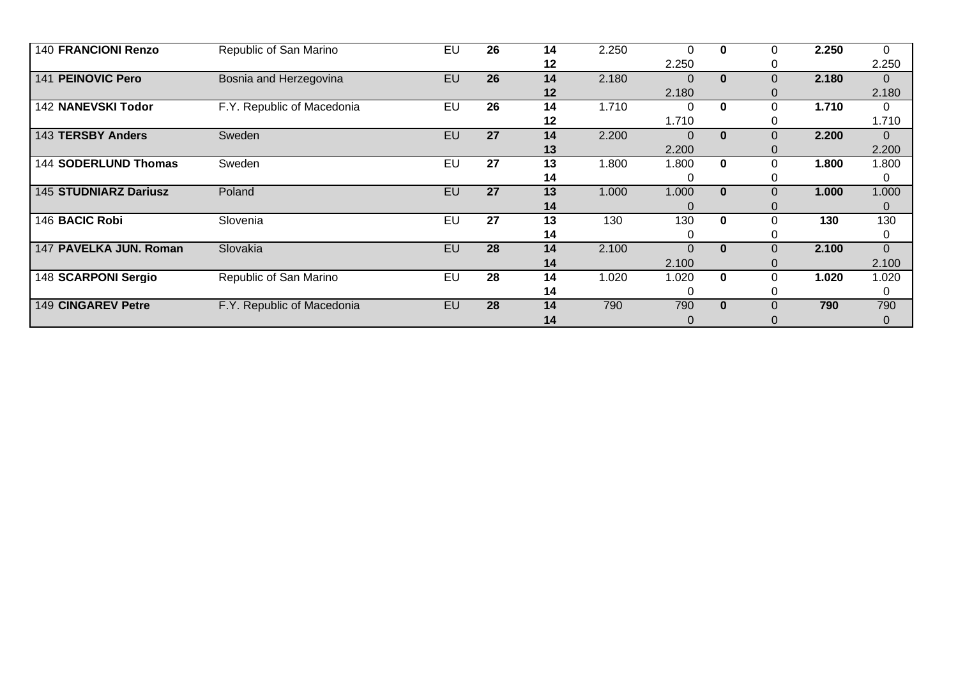| <b>140 FRANCIONI Renzo</b>   | Republic of San Marino     | EU | 26 | 14 | 2.250 | 0        | $\bf{0}$     | 0 | 2.250 | $\mathbf{0}$   |
|------------------------------|----------------------------|----|----|----|-------|----------|--------------|---|-------|----------------|
|                              |                            |    |    | 12 |       | 2.250    |              |   |       | 2.250          |
| 141 PEINOVIC Pero            | Bosnia and Herzegovina     | EU | 26 | 14 | 2.180 |          | $\bf{0}$     | 0 | 2.180 | $\overline{0}$ |
|                              |                            |    |    | 12 |       | 2.180    |              |   |       | 2.180          |
| 142 NANEVSKI Todor           | F.Y. Republic of Macedonia | EU | 26 | 14 | 1.710 | ი        | $\bf{0}$     |   | 1.710 | $\mathbf{0}$   |
|                              |                            |    |    | 12 |       | 1.710    |              |   |       | 1.710          |
| 143 TERSBY Anders            | Sweden                     | EU | 27 | 14 | 2.200 | $\Omega$ | $\bf{0}$     | 0 | 2.200 | $\Omega$       |
|                              |                            |    |    | 13 |       | 2.200    |              |   |       | 2.200          |
| 144 SODERLUND Thomas         | Sweden                     | EU | 27 | 13 | 1.800 | 1.800    | $\mathbf{0}$ | 0 | 1.800 | 1.800          |
|                              |                            |    |    | 14 |       |          |              |   |       | 0              |
| <b>145 STUDNIARZ Dariusz</b> | Poland                     | EU | 27 | 13 | 1.000 | 1.000    | $\bf{0}$     | 0 | 1.000 | 1.000          |
|                              |                            |    |    | 14 |       |          |              | O |       | 0              |
| 146 BACIC Robi               | Slovenia                   | EU | 27 | 13 | 130   | 130      | $\bf{0}$     |   | 130   | 130            |
|                              |                            |    |    | 14 |       |          |              |   |       | 0              |
| 147 PAVELKA JUN. Roman       | Slovakia                   | EU | 28 | 14 | 2.100 | $\Omega$ | $\bf{0}$     | 0 | 2.100 | $\Omega$       |
|                              |                            |    |    | 14 |       | 2.100    |              |   |       | 2.100          |
| 148 SCARPONI Sergio          | Republic of San Marino     | EU | 28 | 14 | 1.020 | 1.020    | $\bf{0}$     | 0 | 1.020 | 1.020          |
|                              |                            |    |    | 14 |       |          |              |   |       | 0              |
| 149 CINGAREV Petre           | F.Y. Republic of Macedonia | EU | 28 | 14 | 790   | 790      | $\mathbf{0}$ |   | 790   | 790            |
|                              |                            |    |    | 14 |       |          |              |   |       | 0              |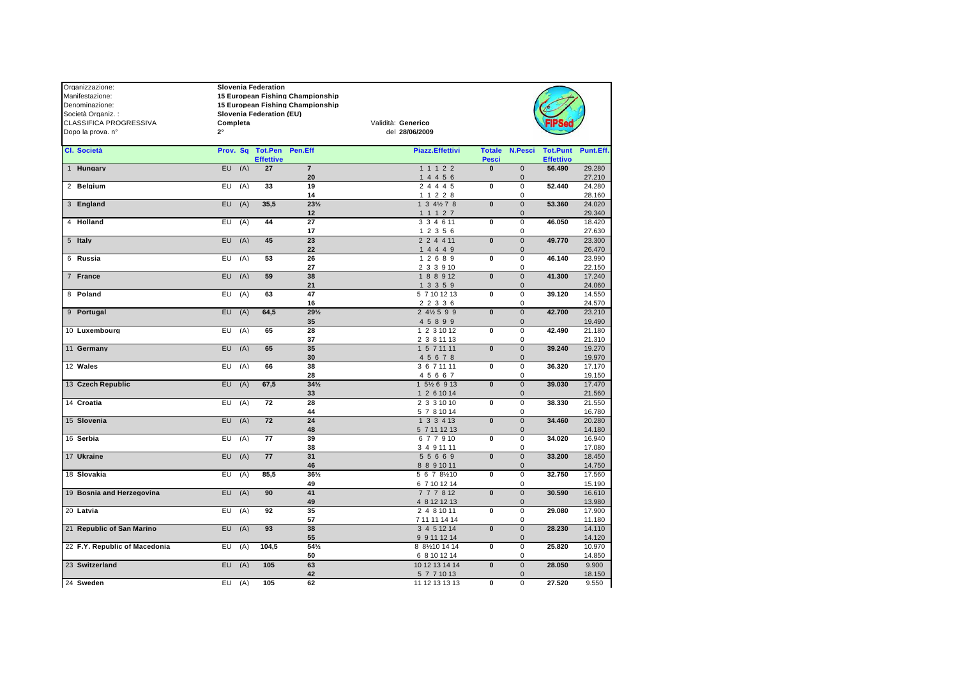| Organizzazione:               | <b>Slovenia Federation</b> |                  |                                  |                           |              |                             |                  |                  |
|-------------------------------|----------------------------|------------------|----------------------------------|---------------------------|--------------|-----------------------------|------------------|------------------|
| Manifestazione:               |                            |                  | 15 European Fishing Championship |                           |              |                             |                  |                  |
| Denominazione:                |                            |                  | 15 European Fishing Championship |                           |              |                             |                  |                  |
| Società Organiz. :            | Slovenia Federation (EU)   |                  |                                  |                           |              |                             |                  |                  |
| <b>CLASSIFICA PROGRESSIVA</b> | Completa                   |                  |                                  | Validità: Generico        |              |                             |                  |                  |
| Dopo la prova. nº             | $2^{\circ}$                |                  |                                  | del 28/06/2009            |              |                             |                  |                  |
|                               |                            |                  |                                  |                           |              |                             |                  |                  |
| Cl. Società                   | Prov. Sq                   |                  | <b>Tot.Pen Pen.Eff</b>           | <b>Piazz.Effettivi</b>    |              | <b>Totale N.Pesci</b>       | <b>Tot.Punt</b>  | Punt.Eff.        |
|                               |                            | <b>Effettive</b> |                                  |                           | <b>Pesci</b> |                             | <b>Effettivo</b> |                  |
| 1 Hungary                     | $EU$ (A)                   | 27               | $\overline{7}$                   | 1 1 1 2 2                 | $\mathbf{0}$ | $\mathsf 0$                 | 56.490           | 29.280           |
|                               | EU<br>(A)                  | 33               | 20<br>19                         | 14456                     | $\mathbf{0}$ | $\mathbf 0$                 | 52.440           | 27.210<br>24.280 |
| 2 Belgium                     |                            |                  | 14                               | 2 4 4 4 5<br>1 1 2 2 8    |              | $\mathbf 0$<br>$\mathbf 0$  |                  | 28.160           |
| 3 England                     | $EU$ $(A)$                 | 35.5             | $23\frac{1}{2}$                  | 1 3 4 $\frac{1}{2}$ 7 8   | $\bf{0}$     | $\mathbf{0}$                | 53.360           | 24.020           |
|                               |                            |                  | 12                               | 1 1 1 2 7                 |              | $\mathbf 0$                 |                  | 29.340           |
| 4 Holland                     | EU<br>(A)                  | 44               | 27                               | 3 3 4 6 11                | 0            | $\mathbf 0$                 | 46.050           | 18.420           |
|                               |                            |                  | 17                               | 1 2 3 5 6                 |              | $\mathbf 0$                 |                  | 27.630           |
| 5 Italy                       | $EU$ $(A)$                 | 45               | 23                               | 2 2 4 4 11                | $\mathbf{0}$ | $\mathbf{0}$                | 49.770           | 23.300           |
|                               |                            |                  | 22                               | 14449                     |              | $\mathbf{0}$                |                  | 26.470           |
| 6 Russia                      | EU.<br>(A)                 | 53               | 26                               | 12689                     | $\mathbf{0}$ | $\mathbf 0$                 | 46.140           | 23.990           |
|                               |                            |                  | 27                               | 2 3 3 9 10                |              | $\mathsf 0$                 |                  | 22.150           |
| 7 France                      | EU.<br>(A)                 | 59               | 38                               | 1 8 8 9 12                | $\bf{0}$     | $\mathbf{0}$                | 41.300           | 17.240           |
|                               |                            |                  | 21                               | 1 3 3 5 9                 |              | $\mathbf 0$                 |                  | 24.060           |
| 8 Poland                      | EU<br>(A)                  | 63               | 47                               | 5 7 10 12 13              | $\mathbf 0$  | $\mathbf 0$                 | 39.120           | 14.550           |
|                               |                            |                  | 16                               | 2 2 3 3 6                 |              | $\mathbf 0$                 |                  | 24.570           |
| 9 Portugal                    | EU.<br>(A)                 | 64,5             | $29\frac{1}{2}$                  | 2 4 $\frac{1}{2}$ 5 9 9   | $\mathbf{0}$ | $\mathsf 0$                 | 42.700           | 23.210           |
|                               |                            |                  | 35                               | 4 5 8 9 9                 |              | $\mathbf 0$                 |                  | 19.490           |
| 10 Luxembourg                 | EU<br>(A)                  | 65               | 28                               | 1 2 3 10 12               | $\mathbf{0}$ | $\mathbf 0$                 | 42.490           | 21.180           |
|                               |                            |                  | 37                               | 2 3 8 11 13               |              | $\mathbf 0$                 |                  | 21.310           |
| 11 Germany                    | (A)<br>EU                  | 65               | 35                               | 1 5 7 11 11               | $\mathbf{0}$ | $\mathbf{0}$                | 39.240           | 19.270           |
|                               |                            |                  | 30                               | 45678                     |              | $\mathbf 0$                 |                  | 19.970           |
| 12 Wales                      | EU<br>(A)                  | 66               | 38                               | 3 6 7 11 11               | 0            | $\mathbf 0$                 | 36.320           | 17.170           |
|                               |                            |                  | 28                               | 45667                     |              | $\mathbf 0$                 |                  | 19.150           |
| 13 Czech Republic             | (A)<br>EU.                 | 67,5             | $34\frac{1}{2}$                  | 1 5½ 6 9 13               | $\mathbf{0}$ | $\mathsf 0$                 | 39.030           | 17.470           |
| 14 Croatia                    | EU<br>(A)                  | 72               | 33<br>28                         | 1 2 6 10 14               | $\mathbf{0}$ | $\mathbf{0}$<br>$\mathbf 0$ | 38.330           | 21.560           |
|                               |                            |                  | 44                               | 2 3 3 10 10               |              | 0                           |                  | 21.550<br>16.780 |
| 15 Slovenia                   | EU<br>(A)                  | 72               | 24                               | 5 7 8 10 14<br>1 3 3 4 13 | $\mathbf{0}$ | $\mathbf 0$                 | 34.460           | 20.280           |
|                               |                            |                  | 48                               | 5 7 11 12 13              |              | $\mathbf{0}$                |                  | 14.180           |
| 16 Serbia                     | EU<br>(A)                  | 77               | 39                               | 677910                    | $\bf{0}$     | $\mathbf 0$                 | 34.020           | 16.940           |
|                               |                            |                  | 38                               | 3 4 9 11 11               |              | $\mathbf 0$                 |                  | 17.080           |
| 17 Ukraine                    | EU<br>(A)                  | 77               | 31                               | 55669                     | $\mathbf{0}$ | $\mathbf 0$                 | 33.200           | 18.450           |
|                               |                            |                  | 46                               | 8 8 9 10 11               |              | $\mathbf 0$                 |                  | 14.750           |
| 18 Slovakia                   | (A)<br>EU                  | 85.5             | $36\frac{1}{2}$                  | 5 6 7 8 1 1 0             | $\mathbf{0}$ | $\mathsf 0$                 | 32.750           | 17.560           |
|                               |                            |                  | 49                               | 6 7 10 12 14              |              | $\mathbf 0$                 |                  | 15.190           |
| 19 Bosnia and Herzegovina     | $EU$ (A)                   | 90               | 41                               | 777812                    | $\mathbf{0}$ | $\mathbf{0}$                | 30.590           | 16.610           |
|                               |                            |                  | 49                               | 4 8 12 12 13              |              | $\mathsf 0$                 |                  | 13.980           |
| 20 Latvia                     | EU<br>(A)                  | 92               | 35                               | 2 4 8 10 11               | $\bf{0}$     | $\mathbf 0$                 | 29.080           | 17.900           |
|                               |                            |                  | 57                               | 7 11 11 14 14             |              | 0                           |                  | 11.180           |
| 21 Republic of San Marino     | EU.<br>(A)                 | 93               | 38                               | 3 4 5 12 14               | $\mathbf{0}$ | $\mathsf 0$                 | 28.230           | 14.110           |
|                               |                            |                  | 55                               | 9 9 11 12 14              |              | $\mathbf 0$                 |                  | 14.120           |
| 22 F.Y. Republic of Macedonia | (A)<br>EU                  | 104,5            | 54%                              | 8 81/210 14 14            | 0            | $\mathsf 0$                 | 25.820           | 10.970           |
|                               |                            |                  | 50                               | 6 8 10 12 14              |              | 0                           |                  | 14.850           |
| 23 Switzerland                | (A)<br>EU.                 | 105              | 63                               | 10 12 13 14 14            | $\bf{0}$     | $\mathbf{0}$                | 28.050           | 9.900            |
|                               |                            |                  | 42                               | 5 7 7 10 13               |              | $\mathbf{0}$                |                  | 18.150           |
| 24 Sweden                     | $EU$ $(A)$                 | 105              | 62                               | 11 12 13 13 13            | $\mathbf 0$  | $\mathbf 0$                 | 27.520           | 9.550            |
|                               |                            |                  |                                  |                           |              |                             |                  |                  |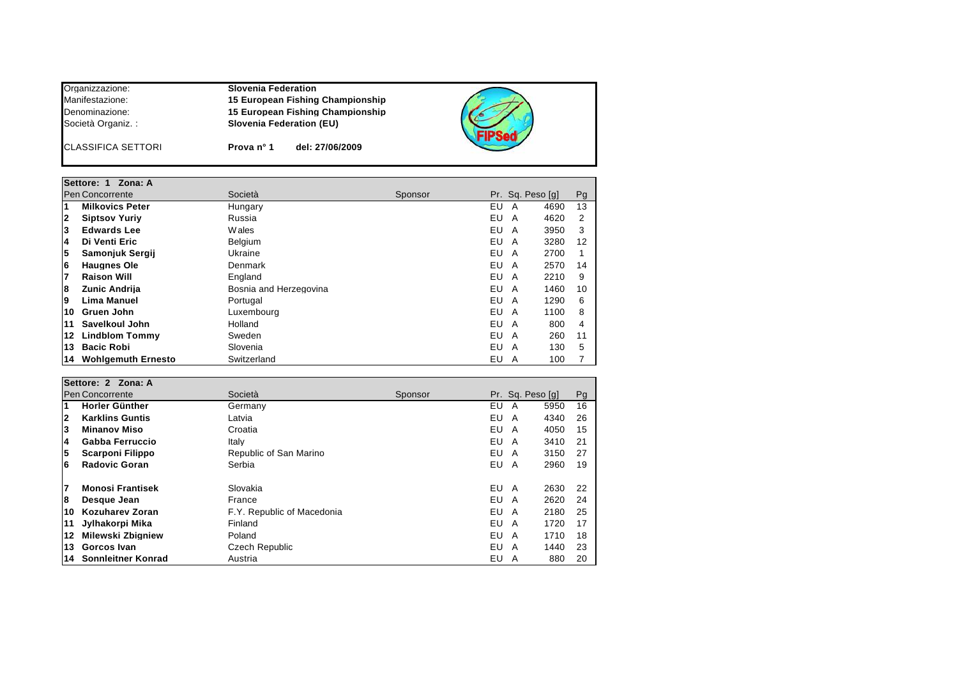| Organizzazione:           | <b>Slovenia Federation</b>       |  |
|---------------------------|----------------------------------|--|
| Manifestazione:           | 15 European Fishing Championship |  |
| Denominazione:            | 15 European Fishing Championship |  |
| Società Organiz. :        | <b>Slovenia Federation (EU)</b>  |  |
| <b>CLASSIFICA SETTORI</b> | del: 27/06/2009<br>Prova nº 1    |  |

|                         | Settore: 1 Zona: A        |                        |         |    |   |                  |    |
|-------------------------|---------------------------|------------------------|---------|----|---|------------------|----|
|                         | Pen Concorrente           | Società                | Sponsor |    |   | Pr. Sq. Peso [q] | Pg |
| 11                      | <b>Milkovics Peter</b>    | Hungary                |         | EU | А | 4690             | 13 |
| $\overline{\mathbf{2}}$ | <b>Siptsov Yuriv</b>      | Russia                 |         | EU | A | 4620             | 2  |
| 13                      | <b>Edwards Lee</b>        | <b>Wales</b>           |         | EU | A | 3950             | 3  |
| 14                      | Di Venti Eric             | Belgium                |         | EU | A | 3280             | 12 |
| 5                       | Samonjuk Sergij           | Ukraine                |         | EU | A | 2700             |    |
| 6                       | <b>Haugnes Ole</b>        | Denmark                |         | EU | A | 2570             | 14 |
| 7                       | <b>Raison Will</b>        | England                |         | EU | A | 2210             | 9  |
| 8                       | <b>Zunic Andrija</b>      | Bosnia and Herzegovina |         | EU | A | 1460             | 10 |
| 9                       | Lima Manuel               | Portugal               |         | EU | A | 1290             | 6  |
| 10                      | Gruen John                | Luxembourg             |         | EU | A | 1100             | 8  |
| 11                      | Savelkoul John            | Holland                |         | EU | A | 800              | 4  |
| 12                      | <b>Lindblom Tommy</b>     | Sweden                 |         | EU | A | 260              | 11 |
| 13                      | <b>Bacic Robi</b>         | Slovenia               |         | EU | A | 130              | 5  |
| 14                      | <b>Wohlgemuth Ernesto</b> | Switzerland            |         | EU | A | 100              |    |

|                         | Settore: 2 Zona: A       |                            |         |                  |            |  |
|-------------------------|--------------------------|----------------------------|---------|------------------|------------|--|
|                         | <b>Pen Concorrente</b>   | Società                    | Sponsor | Pr. Sq. Peso [q] | Pg         |  |
| $\overline{\mathbf{1}}$ | Horler Günther           | Germany                    |         | EU<br>A          | 16<br>5950 |  |
| 2                       | <b>Karklins Guntis</b>   | Latvia                     |         | EU<br>A          | 4340<br>26 |  |
| 3                       | <b>Minanov Miso</b>      | Croatia                    |         | EU<br>A          | 4050<br>15 |  |
| 4                       | Gabba Ferruccio          | Italy                      |         | EU<br>A          | 3410<br>21 |  |
| 5                       | <b>Scarponi Filippo</b>  | Republic of San Marino     |         | EU<br>A          | 3150<br>27 |  |
| 6                       | <b>Radovic Goran</b>     | Serbia                     |         | EU<br>A          | 2960<br>19 |  |
| 7                       | <b>Monosi Frantisek</b>  | Slovakia                   |         | EU<br>A          | 2630<br>22 |  |
| 8                       | Desque Jean              | France                     |         | EU<br>A          | 2620<br>24 |  |
| 10                      | Kozuharev Zoran          | F.Y. Republic of Macedonia |         | EU<br>A          | 2180<br>25 |  |
| 11                      | Jylhakorpi Mika          | Finland                    |         | EU<br>A          | 1720<br>17 |  |
| 12                      | <b>Milewski Zbigniew</b> | Poland                     |         | EU<br>A          | 1710<br>18 |  |
| 13                      | Gorcos Ivan              | Czech Republic             |         | EU<br>A          | 1440<br>23 |  |
| 14                      | Sonnleitner Konrad       | Austria                    |         | EU<br>A          | 880<br>20  |  |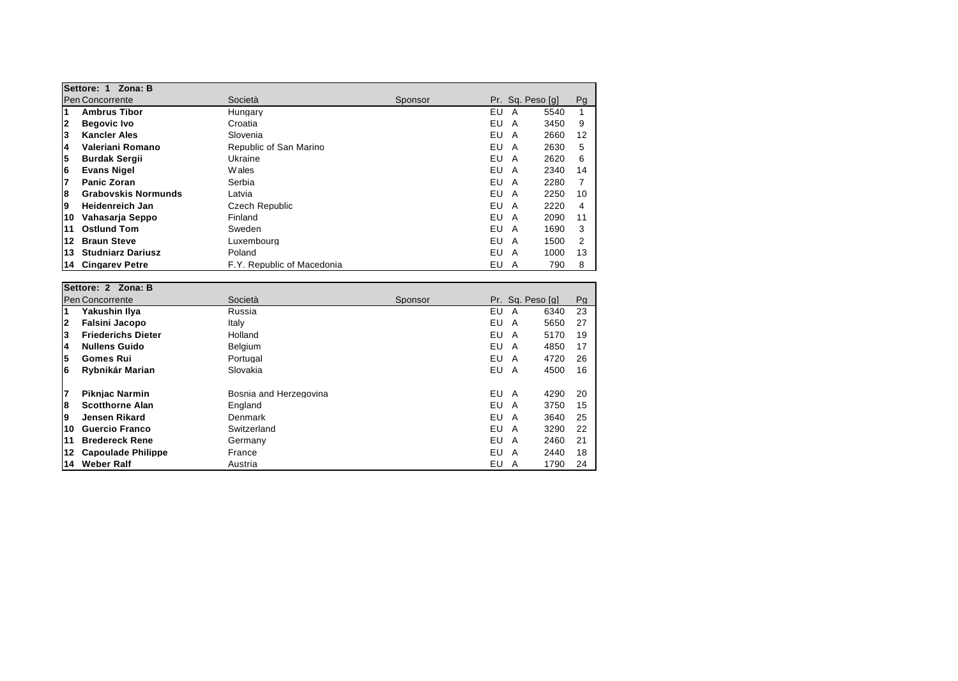|              | Settore: 1<br>Zona: B      |                            |         |     |   |                  |    |
|--------------|----------------------------|----------------------------|---------|-----|---|------------------|----|
|              | <b>Pen Concorrente</b>     | Società                    | Sponsor |     |   | Pr. Sq. Peso [q] | Pg |
| 1            | <b>Ambrus Tibor</b>        | Hungary                    |         | EU  | A | 5540             |    |
| $\mathbf{2}$ | <b>Begovic Ivo</b>         | Croatia                    |         | EU  | A | 3450             | 9  |
| 3            | <b>Kancler Ales</b>        | Slovenia                   |         | EU. | A | 2660             | 12 |
| 4            | Valeriani Romano           | Republic of San Marino     |         | EU  | A | 2630             | 5  |
| 5            | <b>Burdak Sergii</b>       | Ukraine                    |         | EU  | A | 2620             | 6  |
| 6            | <b>Evans Nigel</b>         | <b>W</b> ales              |         | EU  | A | 2340             | 14 |
| 17           | <b>Panic Zoran</b>         | Serbia                     |         | EU  | A | 2280             |    |
| 8            | <b>Grabovskis Normunds</b> | Latvia                     |         | EU  | A | 2250             | 10 |
| 9            | <b>Heidenreich Jan</b>     | Czech Republic             |         | EU. | A | 2220             | 4  |
| 10           | Vahasarja Seppo            | Finland                    |         | EU  | A | 2090             | 11 |
| 11           | <b>Ostlund Tom</b>         | Sweden                     |         | EU  | A | 1690             | 3  |
| 12           | <b>Braun Steve</b>         | Luxembourg                 |         | EU  | A | 1500             | 2  |
| 13           | <b>Studniarz Dariusz</b>   | Poland                     |         | EU  | A | 1000             | 13 |
| 14           | <b>Cingarev Petre</b>      | F.Y. Republic of Macedonia |         | EU  | A | 790              | 8  |

|              | Settore: 2 Zona: B        |                        |         |         |                  |    |  |
|--------------|---------------------------|------------------------|---------|---------|------------------|----|--|
|              | <b>Pen Concorrente</b>    | Società                | Sponsor |         | Pr. Sq. Peso [q] | Pg |  |
| 1            | Yakushin Ilya             | Russia                 |         | EU<br>A | 6340             | 23 |  |
| $\mathbf{2}$ | <b>Falsini Jacopo</b>     | Italy                  |         | EU<br>A | 5650             | 27 |  |
| 3            | <b>Friederichs Dieter</b> | Holland                |         | EU<br>A | 5170             | 19 |  |
| 4            | <b>Nullens Guido</b>      | <b>Belgium</b>         |         | EU<br>A | 4850             | 17 |  |
| 5            | <b>Gomes Rui</b>          | Portugal               |         | EU<br>A | 4720             | 26 |  |
| 6            | Rybnikár Marian           | Slovakia               |         | EU<br>A | 4500             | 16 |  |
| 7            | <b>Piknjac Narmin</b>     | Bosnia and Herzegovina |         | EU<br>A | 4290             | 20 |  |
| 8            | <b>Scotthorne Alan</b>    | England                |         | EU<br>A | 3750             | 15 |  |
| 9            | Jensen Rikard             | Denmark                |         | EU<br>A | 3640             | 25 |  |
| 10           | <b>Guercio Franco</b>     | Switzerland            |         | EU<br>A | 3290             | 22 |  |
| 11           | <b>Bredereck Rene</b>     | Germany                |         | EU<br>A | 2460             | 21 |  |
| 12           | <b>Capoulade Philippe</b> | France                 |         | EU<br>A | 2440             | 18 |  |
| 14           | <b>Weber Ralf</b>         | Austria                |         | EU<br>A | 1790             | 24 |  |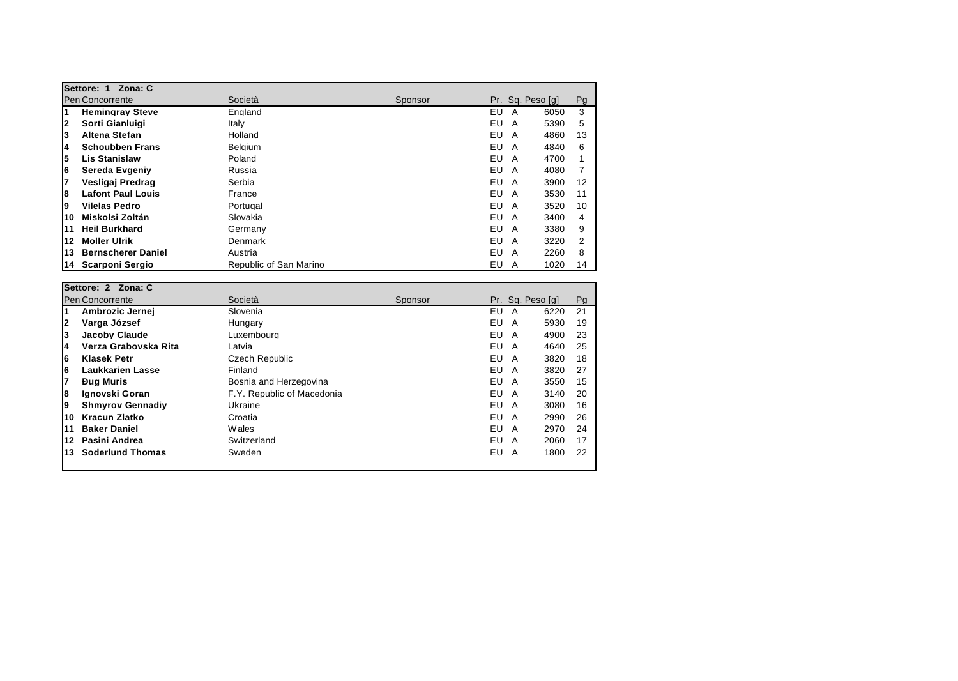|    | Settore: 1 Zona: C        |                        |         |     |                        |    |
|----|---------------------------|------------------------|---------|-----|------------------------|----|
|    | <b>Pen Concorrente</b>    | Società                | Sponsor |     | Pr. Sa. Peso [a]       | Pg |
| 1  | <b>Hemingray Steve</b>    | England                |         | EU  | 6050<br>A              | 3  |
| 2  | Sorti Gianluigi           | Italy                  |         | EU  | 5390<br>A              | 5  |
| 3  | Altena Stefan             | Holland                |         | EU  | 4860<br>A              | 13 |
| 4  | <b>Schoubben Frans</b>    | Belgium                |         | EU  | 4840<br>A              | 6  |
| 5  | <b>Lis Stanislaw</b>      | Poland                 |         | EU  | 4700<br>A              |    |
| 6  | Sereda Evgeniy            | Russia                 |         | EU  | 4080<br>A              |    |
| 7  | Vesligaj Predrag          | Serbia                 |         | EU  | 3900<br>A              | 12 |
| 8  | <b>Lafont Paul Louis</b>  | France                 |         | EU  | 3530<br>A              | 11 |
| 9  | Vilelas Pedro             | Portugal               |         | EU. | 3520<br>A              | 10 |
| 10 | Miskolsi Zoltán           | Slovakia               |         | EU  | 3400<br>A              | 4  |
| 11 | <b>Heil Burkhard</b>      | Germany                |         | EU  | 3380<br>A              | 9  |
| 12 | <b>Moller Ulrik</b>       | Denmark                |         | EU  | 3220<br>A              | 2  |
| 13 | <b>Bernscherer Daniel</b> | Austria                |         | EU  | 2260<br>A              | 8  |
| 14 | Scarponi Sergio           | Republic of San Marino |         | EU  | 1020<br>$\overline{A}$ | 14 |

|              | Settore: 2 Zona: C      |                            |         |                  |      |    |
|--------------|-------------------------|----------------------------|---------|------------------|------|----|
|              | <b>Pen Concorrente</b>  | Società                    | Sponsor | Pr. Sq. Peso [q] |      | Pg |
| 1            | Ambrozic Jernej         | Slovenia                   |         | EU<br>A          | 6220 | 21 |
| $\mathbf{2}$ | Varga József            | Hungary                    |         | EU<br>A          | 5930 | 19 |
| 3            | <b>Jacoby Claude</b>    | Luxembourg                 |         | EU<br>A          | 4900 | 23 |
| 4            | Verza Grabovska Rita    | Latvia                     |         | EU<br>A          | 4640 | 25 |
| 6            | <b>Klasek Petr</b>      | Czech Republic             |         | EU<br>A          | 3820 | 18 |
| 6            | Laukkarien Lasse        | Finland                    |         | EU<br>A          | 3820 | 27 |
| 7            | <b>Dua Muris</b>        | Bosnia and Herzegovina     |         | EU<br>A          | 3550 | 15 |
| 8            | Ignovski Goran          | F.Y. Republic of Macedonia |         | EU<br>A          | 3140 | 20 |
| 19           | <b>Shmyrov Gennadiv</b> | Ukraine                    |         | EU<br>A          | 3080 | 16 |
| 10           | Kracun Zlatko           | Croatia                    |         | EU<br>A          | 2990 | 26 |
| 11           | <b>Baker Daniel</b>     | W ales                     |         | EU<br>A          | 2970 | 24 |
| 12           | Pasini Andrea           | Switzerland                |         | EU<br>A          | 2060 | 17 |
| 13           | <b>Soderlund Thomas</b> | Sweden                     |         | EU<br>A          | 1800 | 22 |
|              |                         |                            |         |                  |      |    |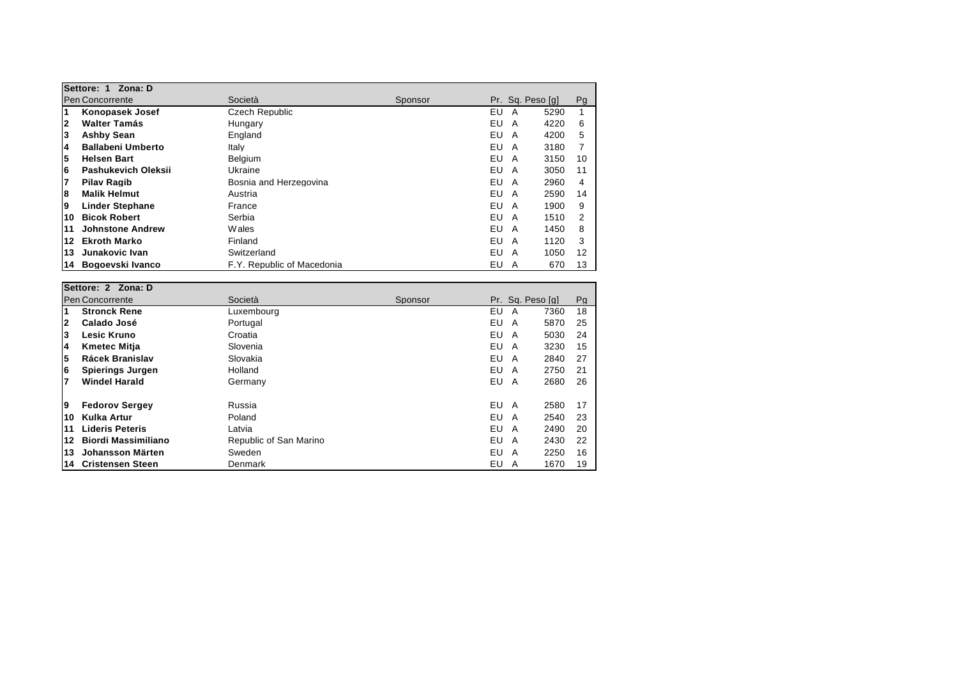|                         | Settore: 1<br>Zona: D    |                            |         |    |                  |      |    |
|-------------------------|--------------------------|----------------------------|---------|----|------------------|------|----|
|                         | <b>Pen Concorrente</b>   | Società                    | Sponsor |    | Pr. Sa. Peso [a] |      | Pg |
| $\overline{\mathbf{1}}$ | <b>Konopasek Josef</b>   | Czech Republic             |         | EU | A                | 5290 |    |
| $\mathbf{2}$            | <b>Walter Tamás</b>      | Hungary                    |         | EU | A                | 4220 | 6  |
| 3                       | <b>Ashby Sean</b>        | England                    |         | EU | A                | 4200 | 5  |
| 4                       | <b>Ballabeni Umberto</b> | Italy                      |         | EU | A                | 3180 |    |
| 5                       | <b>Helsen Bart</b>       | <b>Belaium</b>             |         | EU | A                | 3150 | 10 |
| 6                       | Pashukevich Oleksii      | Ukraine                    |         | EU | A                | 3050 | 11 |
| 7                       | <b>Pilav Ragib</b>       | Bosnia and Herzegovina     |         | EU | A                | 2960 | 4  |
| 8                       | <b>Malik Helmut</b>      | Austria                    |         | EU | A                | 2590 | 14 |
| 9                       | <b>Linder Stephane</b>   | France                     |         | EU | A                | 1900 | 9  |
| 10                      | <b>Bicok Robert</b>      | Serbia                     |         | EU | A                | 1510 | 2  |
| 11                      | <b>Johnstone Andrew</b>  | <b>Wales</b>               |         | EU | A                | 1450 | 8  |
| 12                      | <b>Ekroth Marko</b>      | Finland                    |         | EU | A                | 1120 | 3  |
| 13                      | Junakovic Ivan           | Switzerland                |         | EU | A                | 1050 | 12 |
| 14                      | Bogoevski Ivanco         | F.Y. Republic of Macedonia |         | EU | A                | 670  | 13 |

|              | Settore: 2 Zona: D         |                        |         |                  |      |    |  |  |
|--------------|----------------------------|------------------------|---------|------------------|------|----|--|--|
|              | <b>Pen Concorrente</b>     | Società                | Sponsor | Pr. Sq. Peso [q] |      | Pg |  |  |
| 1            | <b>Stronck Rene</b>        | Luxemboura             |         | EU<br>A          | 7360 | 18 |  |  |
| $\mathbf{2}$ | Calado José                | Portugal               |         | EU<br>A          | 5870 | 25 |  |  |
| 3            | <b>Lesic Kruno</b>         | Croatia                |         | EU<br>A          | 5030 | 24 |  |  |
| 14           | <b>Kmetec Mitia</b>        | Slovenia               |         | EU<br>A          | 3230 | 15 |  |  |
| 5            | Rácek Branislav            | Slovakia               |         | EU<br>A          | 2840 | 27 |  |  |
| 6            | Spierings Jurgen           | Holland                |         | EU<br>A          | 2750 | 21 |  |  |
| 17           | <b>Windel Harald</b>       | Germany                |         | EU.<br>A         | 2680 | 26 |  |  |
| -9           | <b>Fedorov Sergey</b>      | Russia                 |         | EU<br>A          | 2580 | 17 |  |  |
| 10           | <b>Kulka Artur</b>         | Poland                 |         | EU<br>A          | 2540 | 23 |  |  |
| 11           | <b>Lideris Peteris</b>     | Latvia                 |         | EU<br>A          | 2490 | 20 |  |  |
| 12           | <b>Biordi Massimiliano</b> | Republic of San Marino |         | EU<br>A          | 2430 | 22 |  |  |
| 13           | Johansson Märten           | Sweden                 |         | EU<br>A          | 2250 | 16 |  |  |
| 14           | <b>Cristensen Steen</b>    | Denmark                |         | EU<br>A          | 1670 | 19 |  |  |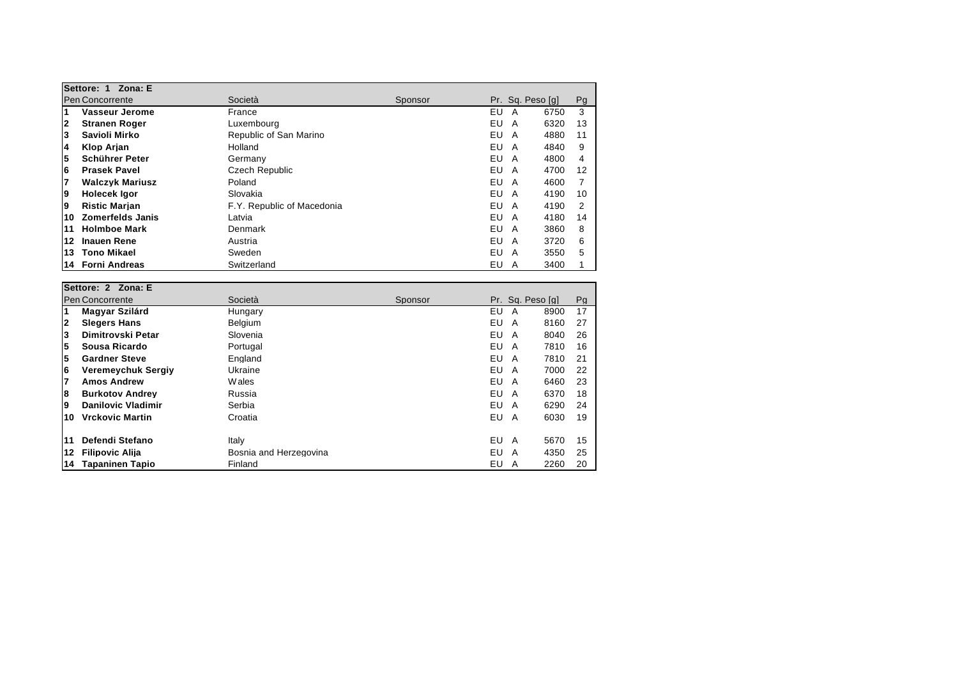|              | Settore: 1<br>Zona: E   |                            |         |                  |      |    |  |
|--------------|-------------------------|----------------------------|---------|------------------|------|----|--|
|              | <b>Pen Concorrente</b>  | Società                    | Sponsor | Pr. Sq. Peso [q] |      | Pg |  |
| 1            | Vasseur Jerome          | France                     |         | EU<br>A          | 6750 | 3  |  |
| $\mathbf{2}$ | <b>Stranen Roger</b>    | Luxembourg                 |         | EU<br>A          | 6320 | 13 |  |
| 3            | Savioli Mirko           | Republic of San Marino     |         | EU<br>A          | 4880 | 11 |  |
| 14           | Klop Arjan              | Holland                    |         | EU<br>A          | 4840 | 9  |  |
| 5            | Schührer Peter          | Germany                    |         | EU<br>A          | 4800 | 4  |  |
| 6            | <b>Prasek Pavel</b>     | Czech Republic             |         | EU<br>A          | 4700 | 12 |  |
| 7            | <b>Walczyk Mariusz</b>  | Poland                     |         | EU<br>A          | 4600 |    |  |
| 9            | Holecek Igor            | Slovakia                   |         | EU<br>A          | 4190 | 10 |  |
| 9            | <b>Ristic Marian</b>    | F.Y. Republic of Macedonia |         | EU<br>A          | 4190 | 2  |  |
| 10           | <b>Zomerfelds Janis</b> | Latvia                     |         | EU<br>A          | 4180 | 14 |  |
| 11           | <b>Holmboe Mark</b>     | Denmark                    |         | EU<br>A          | 3860 | 8  |  |
| 12           | <b>Inauen Rene</b>      | Austria                    |         | EU<br>A          | 3720 | 6  |  |
| 13           | <b>Tono Mikael</b>      | Sweden                     |         | EU<br>A          | 3550 | 5  |  |
| 14           | <b>Forni Andreas</b>    | Switzerland                |         | EU<br>A          | 3400 |    |  |

|                | Settore: 2 Zona: E        |                        |         |     |   |                  |    |
|----------------|---------------------------|------------------------|---------|-----|---|------------------|----|
|                | <b>Pen Concorrente</b>    | Società                | Sponsor |     |   | Pr. Sq. Peso [q] | Pg |
| $\overline{1}$ | Magyar Szilárd            | Hungary                |         | EU  | A | 8900             | 17 |
| 2              | <b>Slegers Hans</b>       | <b>Belgium</b>         |         | EU  | A | 8160             | 27 |
| 3              | Dimitrovski Petar         | Slovenia               |         | EU  | A | 8040             | 26 |
| 5              | Sousa Ricardo             | Portugal               |         | EU  | A | 7810             | 16 |
| 5              | <b>Gardner Steve</b>      | England                |         | EU  | A | 7810             | 21 |
| 6              | <b>Veremeychuk Sergiy</b> | Ukraine                |         | EU  | A | 7000             | 22 |
| 7              | <b>Amos Andrew</b>        | <b>Wales</b>           |         | EU  | A | 6460             | 23 |
| 8              | <b>Burkotov Andrey</b>    | Russia                 |         | EU  | A | 6370             | 18 |
| 9              | <b>Danilovic Vladimir</b> | Serbia                 |         | EU. | A | 6290             | 24 |
| 10             | <b>Vrckovic Martin</b>    | Croatia                |         | EU. | A | 6030             | 19 |
| 11             | Defendi Stefano           | Italy                  |         | EU  | A | 5670             | 15 |
| 12             | <b>Filipovic Alija</b>    | Bosnia and Herzegovina |         | EU  | A | 4350             | 25 |
| 14             | Tapaninen Tapio           | Finland                |         | EU  | A | 2260             | 20 |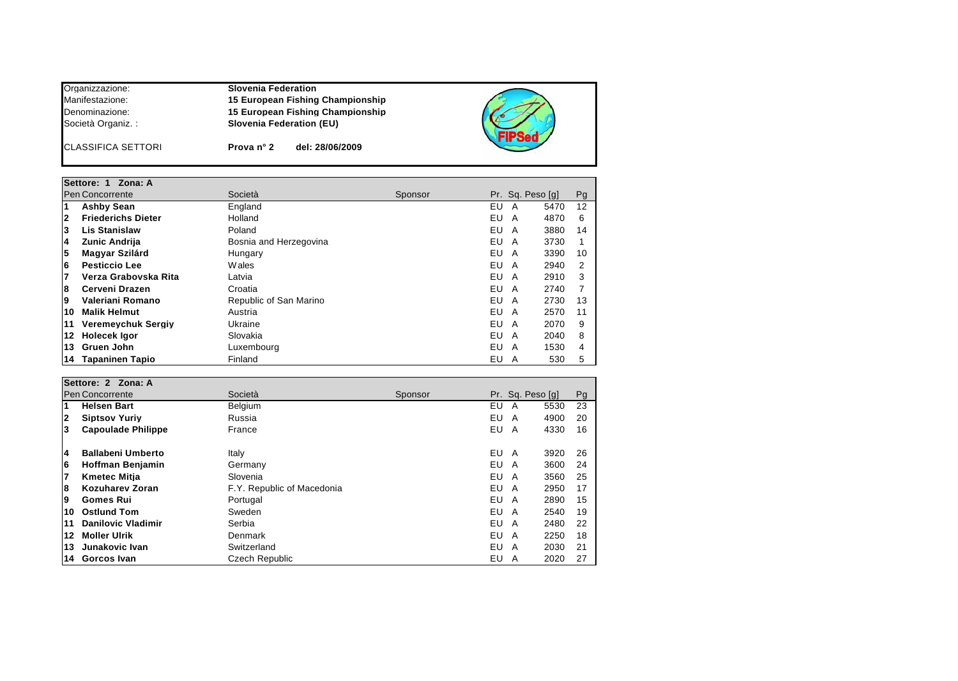## Organizzazione: **Slovenia Federation** Manifestazione: **15 European Fishing Championship** Denominazione: **15 European Fishing Championship** Società Organiz. : **Slovenia Federation (EU)** CLASSIFICA SETTORI **Prova n° 2 del: 28/06/2009**

|    | Settore: 1 Zona: A        |                        |         |    |   |                  |               |
|----|---------------------------|------------------------|---------|----|---|------------------|---------------|
|    | Pen Concorrente           | Società                | Sponsor |    |   | Pr. Sq. Peso [q] | Pg            |
| 1  | <b>Ashby Sean</b>         | England                |         | EU | A | 5470             | 12            |
| 2  | <b>Friederichs Dieter</b> | Holland                |         | EU | A | 4870             | 6             |
| 3  | <b>Lis Stanislaw</b>      | Poland                 |         | EU | A | 3880             | 14            |
| 14 | Zunic Andrija             | Bosnia and Herzegovina |         | EU | A | 3730             |               |
| 5  | Magyar Szilárd            | Hungary                |         | EU | A | 3390             | 10            |
| 6  | <b>Pesticcio Lee</b>      | <b>Wales</b>           |         | EU | A | 2940             | $\mathcal{P}$ |
| 7  | Verza Grabovska Rita      | Latvia                 |         | EU | A | 2910             | 3             |
| 8  | Cerveni Drazen            | Croatia                |         | EU | A | 2740             |               |
| Ι9 | Valeriani Romano          | Republic of San Marino |         | EU | A | 2730             | 13            |
| 10 | <b>Malik Helmut</b>       | Austria                |         | EU | A | 2570             | 11            |
| 11 | <b>Veremeychuk Sergiy</b> | Ukraine                |         | EU | A | 2070             | 9             |
| 12 | <b>Holecek Igor</b>       | Slovakia               |         | EU | A | 2040             | 8             |
| 13 | Gruen John                | Luxembourg             |         | EU | A | 1530             | 4             |
| 14 | Tapaninen Tapio           | Finland                |         | EU | A | 530              | 5             |

|              | Settore: 2 Zona: A        |                            |         |                  |      |    |  |
|--------------|---------------------------|----------------------------|---------|------------------|------|----|--|
|              | <b>Pen Concorrente</b>    | Società                    | Sponsor | Pr. Sq. Peso [q] |      | Pg |  |
| 1            | <b>Helsen Bart</b>        | <b>Belgium</b>             |         | EU<br>A          | 5530 | 23 |  |
| $\mathbf{2}$ | <b>Siptsov Yuriy</b>      | Russia                     |         | EU.<br>A         | 4900 | 20 |  |
| 3            | <b>Capoulade Philippe</b> | France                     |         | EU<br>A          | 4330 | 16 |  |
| 14           | <b>Ballabeni Umberto</b>  | Italy                      |         | EU<br>A          | 3920 | 26 |  |
| 16           | Hoffman Benjamin          | Germany                    |         | EU.<br>A         | 3600 | 24 |  |
| 17           | <b>Kmetec Mitia</b>       | Slovenia                   |         | EU<br>A          | 3560 | 25 |  |
| 8            | <b>Kozuharev Zoran</b>    | F.Y. Republic of Macedonia |         | EU<br>A          | 2950 | 17 |  |
| 9            | <b>Gomes Rui</b>          | Portugal                   |         | EU.<br>A         | 2890 | 15 |  |
| 10           | <b>Ostlund Tom</b>        | Sweden                     |         | EU<br>A          | 2540 | 19 |  |
| 11           | <b>Danilovic Vladimir</b> | Serbia                     |         | EU<br>A          | 2480 | 22 |  |
| 12           | <b>Moller Ulrik</b>       | Denmark                    |         | EU.<br>A         | 2250 | 18 |  |
| 13           | Junakovic Ivan            | Switzerland                |         | EU<br>A          | 2030 | 21 |  |
| 14           | Gorcos Ivan               | Czech Republic             |         | EU<br>A          | 2020 | 27 |  |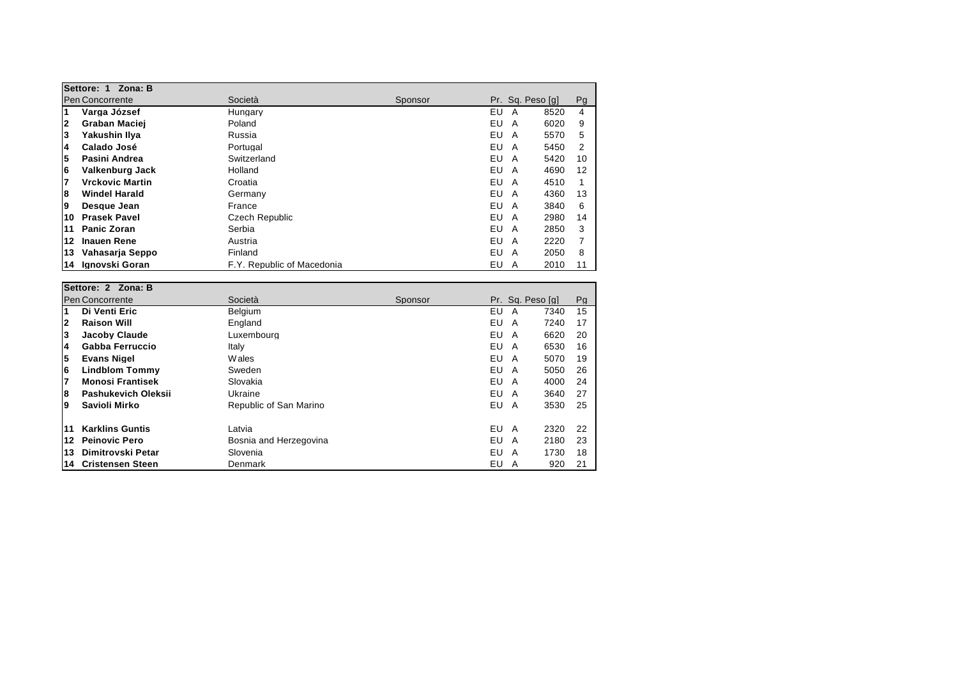|                         | Settore: 1 Zona: B     |                            |         |                  |      |    |  |
|-------------------------|------------------------|----------------------------|---------|------------------|------|----|--|
|                         | Pen Concorrente        | Società                    | Sponsor | Pr. Sq. Peso [q] |      | Pg |  |
| $\overline{\mathbf{1}}$ | Varga József           | Hungary                    |         | EU<br>A          | 8520 | 4  |  |
| $\mathbf{2}$            | Graban Maciej          | Poland                     |         | EU<br>A          | 6020 | 9  |  |
| Ι3                      | Yakushin Ilva          | Russia                     |         | EU<br>A          | 5570 | 5  |  |
| 4                       | Calado José            | Portugal                   |         | EU<br>A          | 5450 | 2  |  |
| 5                       | Pasini Andrea          | Switzerland                |         | EU<br>A          | 5420 | 10 |  |
| 6                       | Valkenburg Jack        | Holland                    |         | EU<br>A          | 4690 | 12 |  |
| 7                       | <b>Vrckovic Martin</b> | Croatia                    |         | EU<br>A          | 4510 |    |  |
| 8                       | <b>Windel Harald</b>   | Germany                    |         | EU<br>A          | 4360 | 13 |  |
| 9                       | Desque Jean            | France                     |         | EU<br>A          | 3840 | 6  |  |
| 10                      | <b>Prasek Pavel</b>    | Czech Republic             |         | EU<br>A          | 2980 | 14 |  |
| 11                      | <b>Panic Zoran</b>     | Serbia                     |         | EU<br>A          | 2850 | 3  |  |
| 12                      | <b>Inauen Rene</b>     | Austria                    |         | EU<br>A          | 2220 |    |  |
| 13                      | Vahasarja Seppo        | Finland                    |         | EU<br>A          | 2050 | 8  |  |
| 14.                     | Ignovski Goran         | F.Y. Republic of Macedonia |         | EU<br>A          | 2010 | 11 |  |

|              | Settore: 2 Zona: B      |                        |         |     |                  |    |
|--------------|-------------------------|------------------------|---------|-----|------------------|----|
|              | <b>Pen Concorrente</b>  | Società                | Sponsor |     | Pr. Sq. Peso [q] | Pg |
| 1            | Di Venti Eric           | <b>Belgium</b>         |         | EU  | 7340<br>A        | 15 |
| $\mathbf{2}$ | <b>Raison Will</b>      | England                |         | EU  | 7240<br>A        | 17 |
| 3            | <b>Jacoby Claude</b>    | Luxembourg             |         | EU  | 6620<br>A        | 20 |
| 14           | Gabba Ferruccio         | Italy                  |         | EU  | 6530<br>A        | 16 |
| 5            | <b>Evans Nigel</b>      | W ales                 |         | EU  | 5070<br>A        | 19 |
| 6            | <b>Lindblom Tommy</b>   | Sweden                 |         | EU  | 5050<br>A        | 26 |
| 7            | <b>Monosi Frantisek</b> | Slovakia               |         | EU  | 4000<br>A        | 24 |
| 8            | Pashukevich Oleksii     | Ukraine                |         | EU  | 3640<br>A        | 27 |
| 9            | Savioli Mirko           | Republic of San Marino |         | EU  | 3530<br>A        | 25 |
| 11           | <b>Karklins Guntis</b>  | Latvia                 |         | EU  | 2320<br>A        | 22 |
| 12           | <b>Peinovic Pero</b>    | Bosnia and Herzegovina |         | EU  | 2180<br>A        | 23 |
| 13           | Dimitrovski Petar       | Slovenia               |         | EU  | 1730<br>A        | 18 |
| 14           | <b>Cristensen Steen</b> | Denmark                |         | EU. | 920<br>A         | 21 |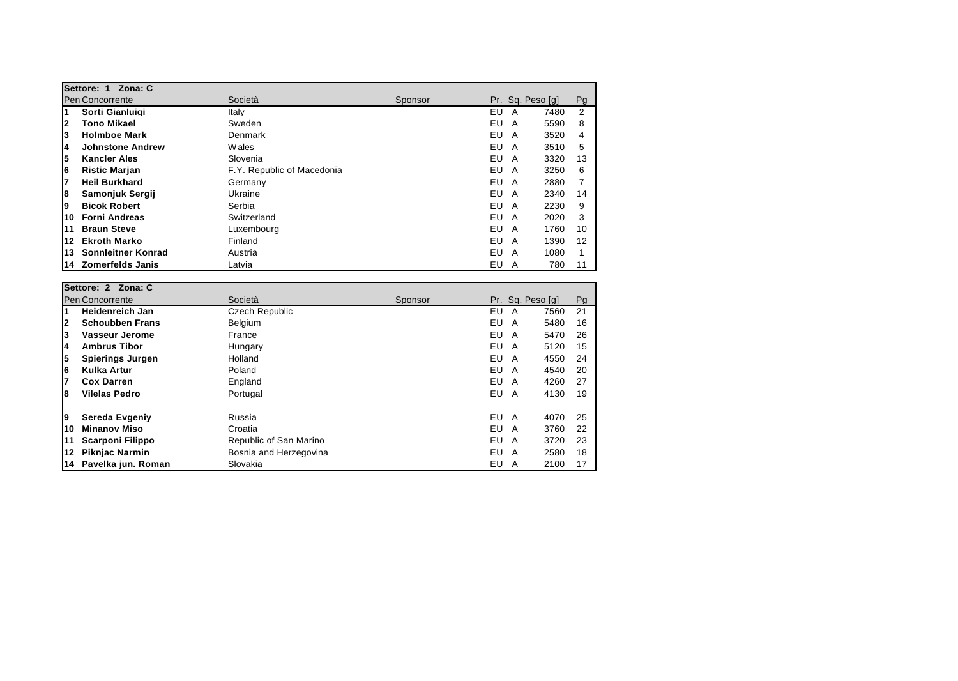| Settore: 1 Zona: C |                         |                            |         |          |                  |    |  |  |
|--------------------|-------------------------|----------------------------|---------|----------|------------------|----|--|--|
|                    | <b>Pen Concorrente</b>  | Società                    | Sponsor |          | Pr. Sq. Peso [q] | Pg |  |  |
| 1                  | Sorti Gianluigi         | Italy                      |         | EU<br>A  | 7480             | 2  |  |  |
| 2                  | Tono Mikael             | Sweden                     |         | EU<br>A  | 5590             | 8  |  |  |
| 3                  | <b>Holmboe Mark</b>     | Denmark                    |         | EU.<br>A | 3520             | 4  |  |  |
| 14                 | <b>Johnstone Andrew</b> | Wales                      |         | EU<br>A  | 3510             | 5  |  |  |
| 5                  | <b>Kancler Ales</b>     | Slovenia                   |         | EU<br>A  | 3320             | 13 |  |  |
| 6                  | <b>Ristic Marjan</b>    | F.Y. Republic of Macedonia |         | EU<br>A  | 3250             | 6  |  |  |
| 7                  | <b>Heil Burkhard</b>    | Germany                    |         | EU<br>A  | 2880             |    |  |  |
| 8                  | Samonjuk Sergij         | Ukraine                    |         | EU<br>A  | 2340             | 14 |  |  |
| 19                 | <b>Bicok Robert</b>     | Serbia                     |         | EU<br>A  | 2230             | 9  |  |  |
| 10                 | <b>Forni Andreas</b>    | Switzerland                |         | EU<br>A  | 2020             | 3  |  |  |
| 11                 | <b>Braun Steve</b>      | Luxemboura                 |         | EU.<br>A | 1760             | 10 |  |  |
| 12                 | <b>Ekroth Marko</b>     | Finland                    |         | EU<br>A  | 1390             | 12 |  |  |
| 13                 | Sonnleitner Konrad      | Austria                    |         | EU<br>A  | 1080             |    |  |  |
| 14                 | <b>Zomerfelds Janis</b> | Latvia                     |         | EU<br>A  | 780              | 11 |  |  |

|                 | Settore: 2 Zona: C      |                        |         |     |                  |      |    |  |
|-----------------|-------------------------|------------------------|---------|-----|------------------|------|----|--|
| Pen Concorrente |                         | Società                | Sponsor |     | Pr. Sq. Peso [q] |      | Pg |  |
| 1               | <b>Heidenreich Jan</b>  | Czech Republic         |         | EU  | A                | 7560 | 21 |  |
| $\mathbf{2}$    | <b>Schoubben Frans</b>  | Belgium                |         | EU  | A                | 5480 | 16 |  |
| 3               | Vasseur Jerome          | France                 |         | EU  | A                | 5470 | 26 |  |
| 4               | <b>Ambrus Tibor</b>     | Hungary                |         | EU  | A                | 5120 | 15 |  |
| 5               | Spierings Jurgen        | Holland                |         | EU  | A                | 4550 | 24 |  |
| 6               | Kulka Artur             | Poland                 |         | EU. | A                | 4540 | 20 |  |
| 7               | <b>Cox Darren</b>       | England                |         | EU  | A                | 4260 | 27 |  |
| 8               | <b>Vilelas Pedro</b>    | Portugal               |         | EU  | A                | 4130 | 19 |  |
| 9               | Sereda Evgeniy          | Russia                 |         | EU. | A                | 4070 | 25 |  |
| 10              | <b>Minanov Miso</b>     | Croatia                |         | EU  | A                | 3760 | 22 |  |
| 11              | <b>Scarponi Filippo</b> | Republic of San Marino |         | EU  | A                | 3720 | 23 |  |
| 12              | <b>Piknjac Narmin</b>   | Bosnia and Herzegovina |         | EU  | A                | 2580 | 18 |  |
| 14              | Pavelka jun. Roman      | Slovakia               |         | EU  | A                | 2100 | 17 |  |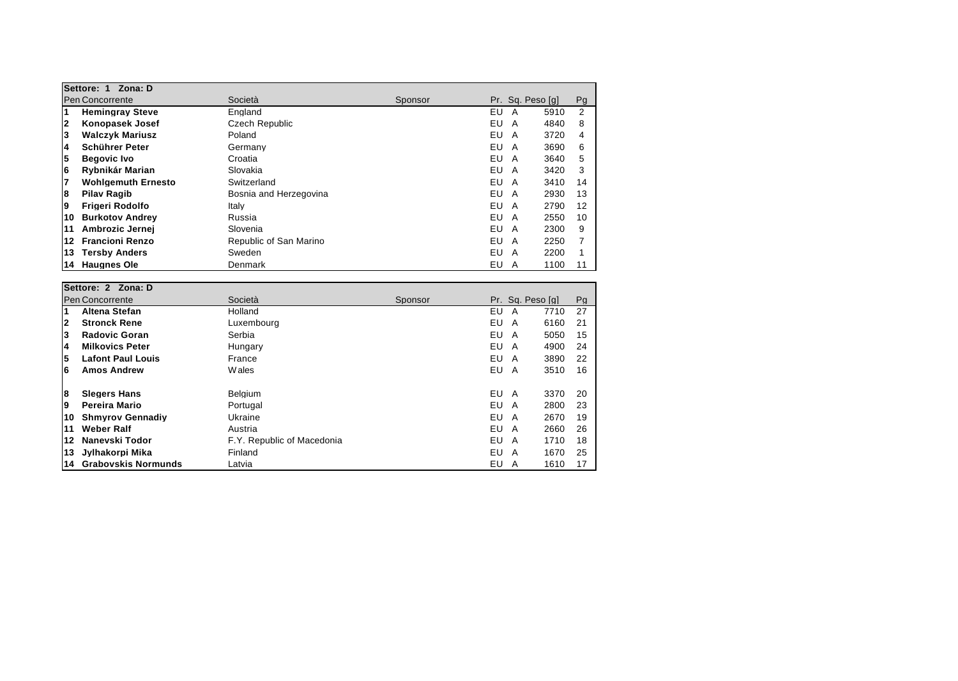| Settore: 1 Zona: D      |                           |                        |         |                  |      |               |  |  |
|-------------------------|---------------------------|------------------------|---------|------------------|------|---------------|--|--|
| <b>Pen Concorrente</b>  |                           | Società                | Sponsor | Pr. Sq. Peso [q] |      | Pg            |  |  |
| $\overline{\mathbf{1}}$ | <b>Hemingray Steve</b>    | England                |         | EU<br>A          | 5910 | $\mathcal{P}$ |  |  |
| $\mathbf{2}$            | Konopasek Josef           | Czech Republic         |         | EU<br>A          | 4840 | 8             |  |  |
| 3                       | <b>Walczyk Mariusz</b>    | Poland                 |         | EU<br>A          | 3720 | 4             |  |  |
| 4                       | Schührer Peter            | Germany                |         | EU<br>A          | 3690 | 6             |  |  |
| 5                       | <b>Begovic Ivo</b>        | Croatia                |         | EU<br>A          | 3640 | 5             |  |  |
| 6                       | Rybnikár Marian           | Slovakia               |         | EU<br>A          | 3420 | 3             |  |  |
| 7                       | <b>Wohlgemuth Ernesto</b> | Switzerland            |         | EU<br>A          | 3410 | 14            |  |  |
| 8                       | <b>Pilav Ragib</b>        | Bosnia and Herzegovina |         | EU<br>A          | 2930 | 13            |  |  |
| 9                       | <b>Frigeri Rodolfo</b>    | Italy                  |         | EU<br>A          | 2790 | 12            |  |  |
| 10                      | <b>Burkotov Andrey</b>    | Russia                 |         | EU<br>A          | 2550 | 10            |  |  |
| 11                      | Ambrozic Jernei           | Slovenia               |         | EU<br>A          | 2300 | 9             |  |  |
| 12                      | <b>Francioni Renzo</b>    | Republic of San Marino |         | EU<br>A          | 2250 |               |  |  |
| 13                      | <b>Tersby Anders</b>      | Sweden                 |         | EU<br>A          | 2200 |               |  |  |
| 14                      | <b>Haugnes Ole</b>        | Denmark                |         | EU<br>A          | 1100 |               |  |  |

|                        | Settore: 2 Zona: D         |                            |         |     |                  |      |    |  |
|------------------------|----------------------------|----------------------------|---------|-----|------------------|------|----|--|
| <b>Pen Concorrente</b> |                            | Società                    | Sponsor |     | Pr. Sq. Peso [q] |      | Pg |  |
| 1                      | Altena Stefan              | Holland                    |         | EU  | A                | 7710 | 27 |  |
| $\mathbf{2}$           | <b>Stronck Rene</b>        | Luxembourg                 |         | EU  | A                | 6160 | 21 |  |
| 3                      | <b>Radovic Goran</b>       | Serbia                     |         | EU. | A                | 5050 | 15 |  |
| 4                      | <b>Milkovics Peter</b>     | Hungary                    |         | EU  | A                | 4900 | 24 |  |
| 5                      | <b>Lafont Paul Louis</b>   | France                     |         | EU  | A                | 3890 | 22 |  |
| 6                      | <b>Amos Andrew</b>         | <b>W</b> ales              |         | EU  | A                | 3510 | 16 |  |
| 8                      | <b>Slegers Hans</b>        | Belgium                    |         | EU  | A                | 3370 | 20 |  |
| 9                      | Pereira Mario              | Portugal                   |         | EU  | A                | 2800 | 23 |  |
| 10                     | <b>Shmyrov Gennadiy</b>    | Ukraine                    |         | EU  | A                | 2670 | 19 |  |
| 11                     | Weber Ralf                 | Austria                    |         | EU  | A                | 2660 | 26 |  |
| 12                     | Nanevski Todor             | F.Y. Republic of Macedonia |         | EU  | A                | 1710 | 18 |  |
| 13                     | Jylhakorpi Mika            | Finland                    |         | EU  | A                | 1670 | 25 |  |
| 14                     | <b>Grabovskis Normunds</b> | Latvia                     |         | EU  | A                | 1610 | 17 |  |